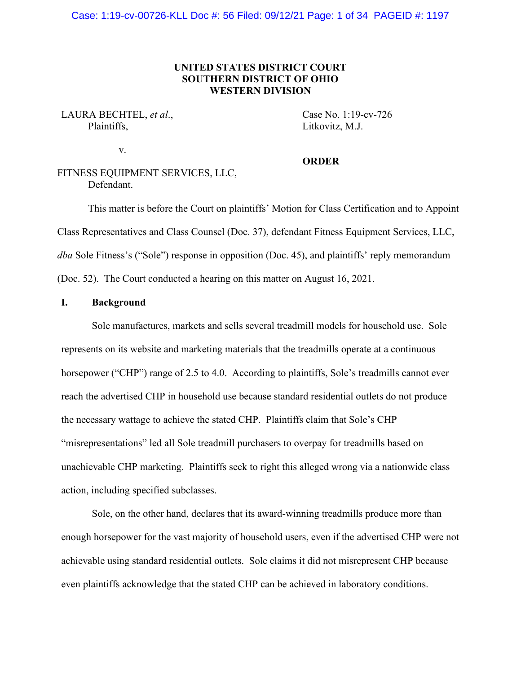# **UNITED STATES DISTRICT COURT SOUTHERN DISTRICT OF OHIO WESTERN DIVISION**

# LAURA BECHTEL, *et al.*, Case No. 1:19-cv-726 Plaintiffs, Litkovitz, M.J.

v.

#### **ORDER**

# FITNESS EQUIPMENT SERVICES, LLC, Defendant.

This matter is before the Court on plaintiffs' Motion for Class Certification and to Appoint Class Representatives and Class Counsel (Doc. 37), defendant Fitness Equipment Services, LLC, *dba* Sole Fitness's ("Sole") response in opposition (Doc. 45), and plaintiffs' reply memorandum (Doc. 52). The Court conducted a hearing on this matter on August 16, 2021.

### **I. Background**

Sole manufactures, markets and sells several treadmill models for household use. Sole represents on its website and marketing materials that the treadmills operate at a continuous horsepower ("CHP") range of 2.5 to 4.0. According to plaintiffs, Sole's treadmills cannot ever reach the advertised CHP in household use because standard residential outlets do not produce the necessary wattage to achieve the stated CHP. Plaintiffs claim that Sole's CHP "misrepresentations" led all Sole treadmill purchasers to overpay for treadmills based on unachievable CHP marketing. Plaintiffs seek to right this alleged wrong via a nationwide class action, including specified subclasses.

Sole, on the other hand, declares that its award-winning treadmills produce more than enough horsepower for the vast majority of household users, even if the advertised CHP were not achievable using standard residential outlets. Sole claims it did not misrepresent CHP because even plaintiffs acknowledge that the stated CHP can be achieved in laboratory conditions.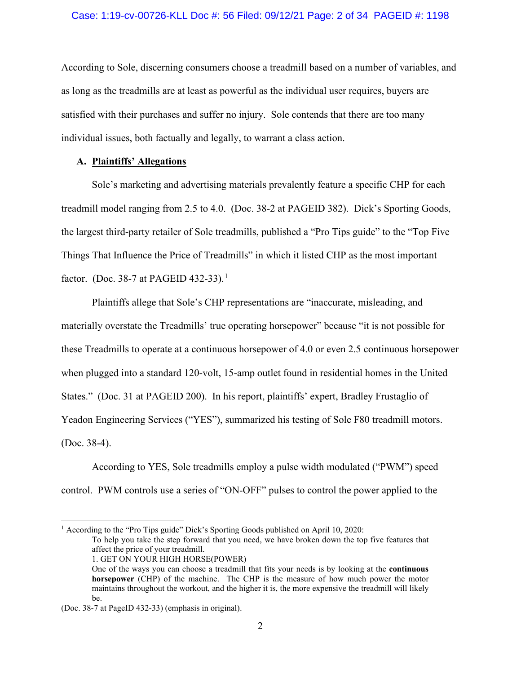According to Sole, discerning consumers choose a treadmill based on a number of variables, and as long as the treadmills are at least as powerful as the individual user requires, buyers are satisfied with their purchases and suffer no injury. Sole contends that there are too many individual issues, both factually and legally, to warrant a class action.

### **A. Plaintiffs' Allegations**

Sole's marketing and advertising materials prevalently feature a specific CHP for each treadmill model ranging from 2.5 to 4.0. (Doc. 38-2 at PAGEID 382). Dick's Sporting Goods, the largest third-party retailer of Sole treadmills, published a "Pro Tips guide" to the "Top Five Things That Influence the Price of Treadmills" in which it listed CHP as the most important factor. (Doc. 38-7 at PAGEID 432-33).<sup>[1](#page-1-0)</sup>

Plaintiffs allege that Sole's CHP representations are "inaccurate, misleading, and materially overstate the Treadmills' true operating horsepower" because "it is not possible for these Treadmills to operate at a continuous horsepower of 4.0 or even 2.5 continuous horsepower when plugged into a standard 120-volt, 15-amp outlet found in residential homes in the United States." (Doc. 31 at PAGEID 200). In his report, plaintiffs' expert, Bradley Frustaglio of Yeadon Engineering Services ("YES"), summarized his testing of Sole F80 treadmill motors. (Doc. 38-4).

According to YES, Sole treadmills employ a pulse width modulated ("PWM") speed control. PWM controls use a series of "ON-OFF" pulses to control the power applied to the

<span id="page-1-0"></span><sup>1</sup> According to the "Pro Tips guide" Dick's Sporting Goods published on April 10, 2020:

To help you take the step forward that you need, we have broken down the top five features that affect the price of your treadmill.

1. GET ON YOUR HIGH HORSE(POWER)

One of the ways you can choose a treadmill that fits your needs is by looking at the **continuous horsepower** (CHP) of the machine. The CHP is the measure of how much power the motor maintains throughout the workout, and the higher it is, the more expensive the treadmill will likely be.

<sup>(</sup>Doc. 38-7 at PageID 432-33) (emphasis in original).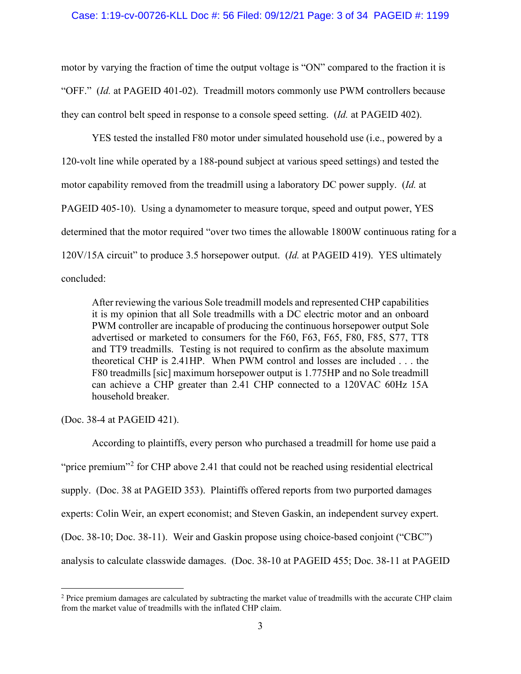motor by varying the fraction of time the output voltage is "ON" compared to the fraction it is "OFF." (*Id.* at PAGEID 401-02). Treadmill motors commonly use PWM controllers because they can control belt speed in response to a console speed setting. (*Id.* at PAGEID 402).

YES tested the installed F80 motor under simulated household use (i.e., powered by a 120-volt line while operated by a 188-pound subject at various speed settings) and tested the motor capability removed from the treadmill using a laboratory DC power supply. (*Id.* at PAGEID 405-10). Using a dynamometer to measure torque, speed and output power, YES determined that the motor required "over two times the allowable 1800W continuous rating for a 120V/15A circuit" to produce 3.5 horsepower output. (*Id.* at PAGEID 419). YES ultimately concluded:

After reviewing the various Sole treadmill models and represented CHP capabilities it is my opinion that all Sole treadmills with a DC electric motor and an onboard PWM controller are incapable of producing the continuous horsepower output Sole advertised or marketed to consumers for the F60, F63, F65, F80, F85, S77, TT8 and TT9 treadmills. Testing is not required to confirm as the absolute maximum theoretical CHP is 2.41HP. When PWM control and losses are included . . . the F80 treadmills [sic] maximum horsepower output is 1.775HP and no Sole treadmill can achieve a CHP greater than 2.41 CHP connected to a 120VAC 60Hz 15A household breaker.

(Doc. 38-4 at PAGEID 421).

According to plaintiffs, every person who purchased a treadmill for home use paid a "price premium"<sup>[2](#page-2-0)</sup> for CHP above 2.41 that could not be reached using residential electrical supply. (Doc. 38 at PAGEID 353). Plaintiffs offered reports from two purported damages experts: Colin Weir, an expert economist; and Steven Gaskin, an independent survey expert. (Doc. 38-10; Doc. 38-11). Weir and Gaskin propose using choice-based conjoint ("CBC") analysis to calculate classwide damages. (Doc. 38-10 at PAGEID 455; Doc. 38-11 at PAGEID

<span id="page-2-0"></span><sup>&</sup>lt;sup>2</sup> Price premium damages are calculated by subtracting the market value of treadmills with the accurate CHP claim from the market value of treadmills with the inflated CHP claim.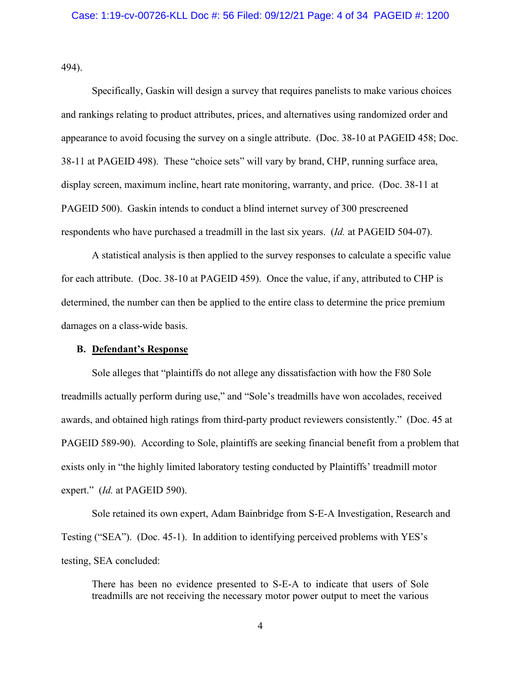494).

Specifically, Gaskin will design a survey that requires panelists to make various choices and rankings relating to product attributes, prices, and alternatives using randomized order and appearance to avoid focusing the survey on a single attribute. (Doc. 38-10 at PAGEID 458; Doc. 38-11 at PAGEID 498). These "choice sets" will vary by brand, CHP, running surface area, display screen, maximum incline, heart rate monitoring, warranty, and price. (Doc. 38-11 at PAGEID 500). Gaskin intends to conduct a blind internet survey of 300 prescreened respondents who have purchased a treadmill in the last six years. (*Id.* at PAGEID 504-07).

A statistical analysis is then applied to the survey responses to calculate a specific value for each attribute. (Doc. 38-10 at PAGEID 459). Once the value, if any, attributed to CHP is determined, the number can then be applied to the entire class to determine the price premium damages on a class-wide basis.

#### **B. Defendant's Response**

Sole alleges that "plaintiffs do not allege any dissatisfaction with how the F80 Sole treadmills actually perform during use," and "Sole's treadmills have won accolades, received awards, and obtained high ratings from third-party product reviewers consistently." (Doc. 45 at PAGEID 589-90). According to Sole, plaintiffs are seeking financial benefit from a problem that exists only in "the highly limited laboratory testing conducted by Plaintiffs' treadmill motor expert." (*Id.* at PAGEID 590).

Sole retained its own expert, Adam Bainbridge from S-E-A Investigation, Research and Testing ("SEA"). (Doc. 45-1). In addition to identifying perceived problems with YES's testing, SEA concluded:

There has been no evidence presented to S-E-A to indicate that users of Sole treadmills are not receiving the necessary motor power output to meet the various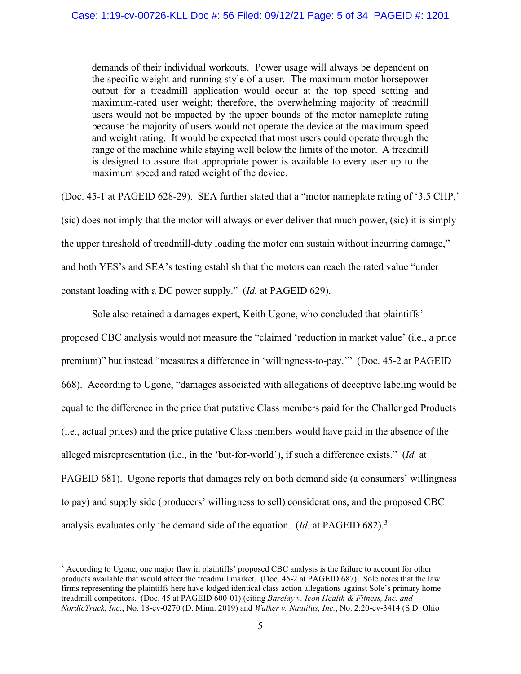demands of their individual workouts. Power usage will always be dependent on the specific weight and running style of a user. The maximum motor horsepower output for a treadmill application would occur at the top speed setting and maximum-rated user weight; therefore, the overwhelming majority of treadmill users would not be impacted by the upper bounds of the motor nameplate rating because the majority of users would not operate the device at the maximum speed and weight rating. It would be expected that most users could operate through the range of the machine while staying well below the limits of the motor. A treadmill is designed to assure that appropriate power is available to every user up to the maximum speed and rated weight of the device.

(Doc. 45-1 at PAGEID 628-29). SEA further stated that a "motor nameplate rating of '3.5 CHP,' (sic) does not imply that the motor will always or ever deliver that much power, (sic) it is simply the upper threshold of treadmill-duty loading the motor can sustain without incurring damage," and both YES's and SEA's testing establish that the motors can reach the rated value "under constant loading with a DC power supply." (*Id.* at PAGEID 629).

Sole also retained a damages expert, Keith Ugone, who concluded that plaintiffs' proposed CBC analysis would not measure the "claimed 'reduction in market value' (i.e., a price premium)" but instead "measures a difference in 'willingness-to-pay.'" (Doc. 45-2 at PAGEID 668). According to Ugone, "damages associated with allegations of deceptive labeling would be equal to the difference in the price that putative Class members paid for the Challenged Products (i.e., actual prices) and the price putative Class members would have paid in the absence of the alleged misrepresentation (i.e., in the 'but-for-world'), if such a difference exists." (*Id.* at PAGEID 681). Ugone reports that damages rely on both demand side (a consumers' willingness to pay) and supply side (producers' willingness to sell) considerations, and the proposed CBC analysis evaluates only the demand side of the equation. (*Id.* at PAGEID 682).[3](#page-4-0)

<span id="page-4-0"></span><sup>3</sup> According to Ugone, one major flaw in plaintiffs' proposed CBC analysis is the failure to account for other products available that would affect the treadmill market. (Doc. 45-2 at PAGEID 687). Sole notes that the law firms representing the plaintiffs here have lodged identical class action allegations against Sole's primary home treadmill competitors. (Doc. 45 at PAGEID 600-01) (citing *Barclay v. Icon Health & Fitness, Inc. and NordicTrack, Inc.*, No. 18-cv-0270 (D. Minn. 2019) and *Walker v. Nautilus, Inc.*, No. 2:20-cv-3414 (S.D. Ohio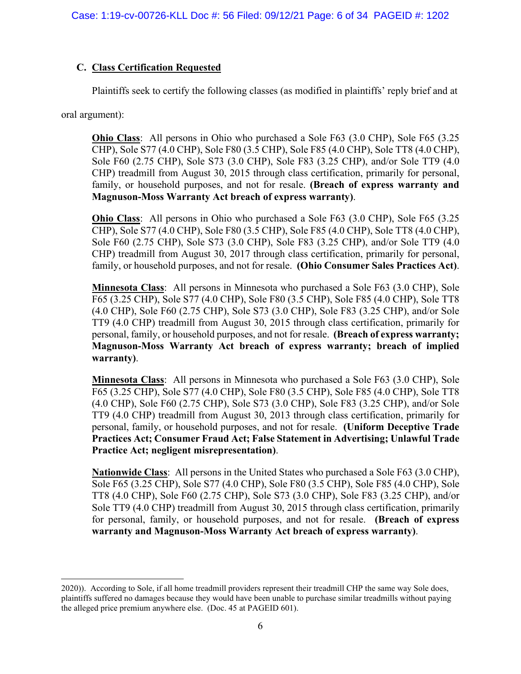# **C. Class Certification Requested**

Plaintiffs seek to certify the following classes (as modified in plaintiffs' reply brief and at

oral argument):

**Ohio Class**: All persons in Ohio who purchased a Sole F63 (3.0 CHP), Sole F65 (3.25 CHP), Sole S77 (4.0 CHP), Sole F80 (3.5 CHP), Sole F85 (4.0 CHP), Sole TT8 (4.0 CHP), Sole F60 (2.75 CHP), Sole S73 (3.0 CHP), Sole F83 (3.25 CHP), and/or Sole TT9 (4.0 CHP) treadmill from August 30, 2015 through class certification, primarily for personal, family, or household purposes, and not for resale. **(Breach of express warranty and Magnuson-Moss Warranty Act breach of express warranty)**.

**Ohio Class**: All persons in Ohio who purchased a Sole F63 (3.0 CHP), Sole F65 (3.25 CHP), Sole S77 (4.0 CHP), Sole F80 (3.5 CHP), Sole F85 (4.0 CHP), Sole TT8 (4.0 CHP), Sole F60 (2.75 CHP), Sole S73 (3.0 CHP), Sole F83 (3.25 CHP), and/or Sole TT9 (4.0 CHP) treadmill from August 30, 2017 through class certification, primarily for personal, family, or household purposes, and not for resale. **(Ohio Consumer Sales Practices Act)**.

**Minnesota Class**: All persons in Minnesota who purchased a Sole F63 (3.0 CHP), Sole F65 (3.25 CHP), Sole S77 (4.0 CHP), Sole F80 (3.5 CHP), Sole F85 (4.0 CHP), Sole TT8 (4.0 CHP), Sole F60 (2.75 CHP), Sole S73 (3.0 CHP), Sole F83 (3.25 CHP), and/or Sole TT9 (4.0 CHP) treadmill from August 30, 2015 through class certification, primarily for personal, family, or household purposes, and not for resale. **(Breach of express warranty; Magnuson-Moss Warranty Act breach of express warranty; breach of implied warranty)**.

**Minnesota Class**: All persons in Minnesota who purchased a Sole F63 (3.0 CHP), Sole F65 (3.25 CHP), Sole S77 (4.0 CHP), Sole F80 (3.5 CHP), Sole F85 (4.0 CHP), Sole TT8 (4.0 CHP), Sole F60 (2.75 CHP), Sole S73 (3.0 CHP), Sole F83 (3.25 CHP), and/or Sole TT9 (4.0 CHP) treadmill from August 30, 2013 through class certification, primarily for personal, family, or household purposes, and not for resale. **(Uniform Deceptive Trade Practices Act; Consumer Fraud Act; False Statement in Advertising; Unlawful Trade Practice Act; negligent misrepresentation)**.

**Nationwide Class**: All persons in the United States who purchased a Sole F63 (3.0 CHP), Sole F65 (3.25 CHP), Sole S77 (4.0 CHP), Sole F80 (3.5 CHP), Sole F85 (4.0 CHP), Sole TT8 (4.0 CHP), Sole F60 (2.75 CHP), Sole S73 (3.0 CHP), Sole F83 (3.25 CHP), and/or Sole TT9 (4.0 CHP) treadmill from August 30, 2015 through class certification, primarily for personal, family, or household purposes, and not for resale. **(Breach of express warranty and Magnuson-Moss Warranty Act breach of express warranty)**.

<sup>2020)).</sup> According to Sole, if all home treadmill providers represent their treadmill CHP the same way Sole does, plaintiffs suffered no damages because they would have been unable to purchase similar treadmills without paying the alleged price premium anywhere else. (Doc. 45 at PAGEID 601).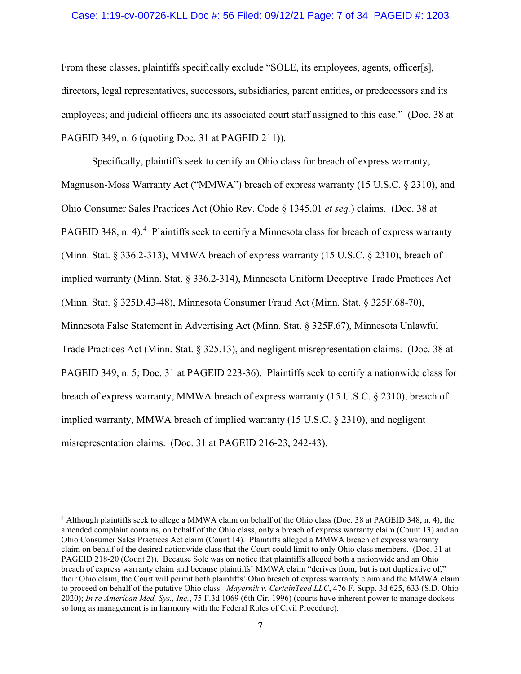### Case: 1:19-cv-00726-KLL Doc #: 56 Filed: 09/12/21 Page: 7 of 34 PAGEID #: 1203

From these classes, plaintiffs specifically exclude "SOLE, its employees, agents, officer[s], directors, legal representatives, successors, subsidiaries, parent entities, or predecessors and its employees; and judicial officers and its associated court staff assigned to this case." (Doc. 38 at PAGEID 349, n. 6 (quoting Doc. 31 at PAGEID 211)).

Specifically, plaintiffs seek to certify an Ohio class for breach of express warranty, Magnuson-Moss Warranty Act ("MMWA") breach of express warranty (15 U.S.C. § 2310), and Ohio Consumer Sales Practices Act (Ohio Rev. Code § 1345.01 *et seq.*) claims. (Doc. 38 at PAGEID 3[4](#page-6-0)8, n. 4).<sup>4</sup> Plaintiffs seek to certify a Minnesota class for breach of express warranty (Minn. Stat. § 336.2-313), MMWA breach of express warranty (15 U.S.C. § 2310), breach of implied warranty (Minn. Stat. § 336.2-314), Minnesota Uniform Deceptive Trade Practices Act (Minn. Stat. § 325D.43-48), Minnesota Consumer Fraud Act (Minn. Stat. § 325F.68-70), Minnesota False Statement in Advertising Act (Minn. Stat. § 325F.67), Minnesota Unlawful Trade Practices Act (Minn. Stat. § 325.13), and negligent misrepresentation claims. (Doc. 38 at PAGEID 349, n. 5; Doc. 31 at PAGEID 223-36). Plaintiffs seek to certify a nationwide class for breach of express warranty, MMWA breach of express warranty (15 U.S.C. § 2310), breach of implied warranty, MMWA breach of implied warranty (15 U.S.C. § 2310), and negligent misrepresentation claims. (Doc. 31 at PAGEID 216-23, 242-43).

<span id="page-6-0"></span><sup>4</sup> Although plaintiffs seek to allege a MMWA claim on behalf of the Ohio class (Doc. 38 at PAGEID 348, n. 4), the amended complaint contains, on behalf of the Ohio class, only a breach of express warranty claim (Count 13) and an Ohio Consumer Sales Practices Act claim (Count 14). Plaintiffs alleged a MMWA breach of express warranty claim on behalf of the desired nationwide class that the Court could limit to only Ohio class members. (Doc. 31 at PAGEID 218-20 (Count 2)). Because Sole was on notice that plaintiffs alleged both a nationwide and an Ohio breach of express warranty claim and because plaintiffs' MMWA claim "derives from, but is not duplicative of," their Ohio claim, the Court will permit both plaintiffs' Ohio breach of express warranty claim and the MMWA claim to proceed on behalf of the putative Ohio class. *Mayernik v. CertainTeed LLC*, 476 F. Supp. 3d 625, 633 (S.D. Ohio 2020); *In re American Med. Sys., Inc.*, 75 F.3d 1069 (6th Cir. 1996) (courts have inherent power to manage dockets so long as management is in harmony with the Federal Rules of Civil Procedure).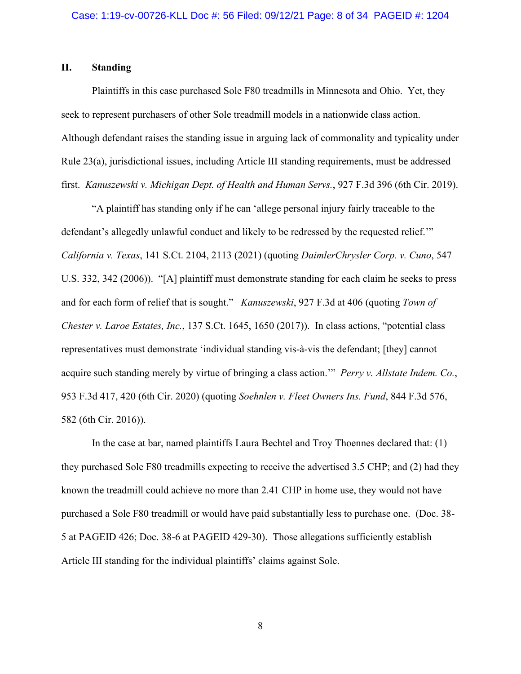## **II. Standing**

Plaintiffs in this case purchased Sole F80 treadmills in Minnesota and Ohio. Yet, they seek to represent purchasers of other Sole treadmill models in a nationwide class action. Although defendant raises the standing issue in arguing lack of commonality and typicality under Rule 23(a), jurisdictional issues, including Article III standing requirements, must be addressed first. *Kanuszewski v. Michigan Dept. of Health and Human Servs.*, 927 F.3d 396 (6th Cir. 2019).

"A plaintiff has standing only if he can 'allege personal injury fairly traceable to the defendant's allegedly unlawful conduct and likely to be redressed by the requested relief.'" *California v. Texas*[, 141 S.Ct. 2104, 2113 \(2021\)](https://1.next.westlaw.com/Document/I30bd8b76cf1611eb9ef5b7c3555247c3/View/FullText.html?transitionType=Default&contextData=(oc.Default)) (quoting *DaimlerChrysler Corp. v. Cuno*, 547 U.S. 332, 342 (2006)). "[A] plaintiff must demonstrate standing for each claim he seeks to press and for each form of relief that is sought." *Kanuszewski*[, 927 F.3d at 406 \(quoting](https://1.next.westlaw.com/Document/Idcf484408be311e9ba33b03ae9101fb2/View/FullText.html?transitionType=Default&contextData=(oc.Default)) *Town of Chester v. Laroe Estates, Inc.*[, 137 S.Ct. 1645, 1650 \(2017\)\).](https://1.next.westlaw.com/Document/Idcf484408be311e9ba33b03ae9101fb2/View/FullText.html?transitionType=Default&contextData=(oc.Default)) In class actions, "potential class representatives must demonstrate 'individual standing vis-à-vis the defendant; [they] cannot acquire such standing merely by virtue of bringing a class action.'" *[Perry v. Allstate Indem. Co.](https://1.next.westlaw.com/Document/I50d65f00698311ea94c1fd79e5bc9f66/View/FullText.html?transitionType=Default&contextData=(oc.Default))*, [953 F.3d 417, 420 \(6th Cir. 2020\)](https://1.next.westlaw.com/Document/I50d65f00698311ea94c1fd79e5bc9f66/View/FullText.html?transitionType=Default&contextData=(oc.Default)) (quoting *Soehnlen v. Fleet Owners Ins. Fund*, 844 F.3d 576, 582 (6th Cir. 2016)).

In the case at bar, named plaintiffs Laura Bechtel and Troy Thoennes declared that: (1) they purchased Sole F80 treadmills expecting to receive the advertised 3.5 CHP; and (2) had they known the treadmill could achieve no more than 2.41 CHP in home use, they would not have purchased a Sole F80 treadmill or would have paid substantially less to purchase one. (Doc. 38- 5 at PAGEID 426; Doc. 38-6 at PAGEID 429-30). Those allegations sufficiently establish Article III standing for the individual plaintiffs' claims against Sole.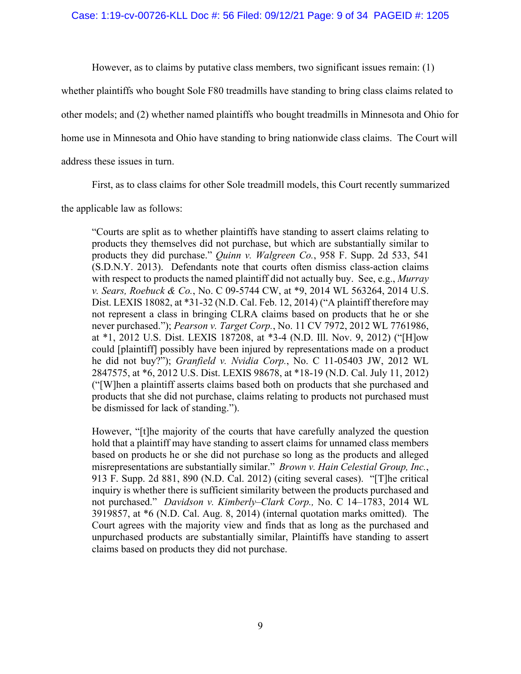However, as to claims by putative class members, two significant issues remain: (1)

whether plaintiffs who bought Sole F80 treadmills have standing to bring class claims related to

other models; and (2) whether named plaintiffs who bought treadmills in Minnesota and Ohio for

home use in Minnesota and Ohio have standing to bring nationwide class claims. The Court will

address these issues in turn.

First, as to class claims for other Sole treadmill models, this Court recently summarized

the applicable law as follows:

"Courts are split as to whether plaintiffs have standing to assert claims relating to products they themselves did not purchase, but which are substantially similar to products they did purchase." *Quinn v. Walgreen Co.*, 958 F. Supp. 2d 533, 541 (S.D.N.Y. 2013). Defendants note that courts often dismiss class-action claims with respect to products the named plaintiff did not actually buy. See, e.g., *Murray v. Sears, Roebuck & Co.*, No. C 09-5744 CW, at \*9, 2014 WL 563264, 2014 U.S. Dist. LEXIS 18082, at \*31-32 (N.D. Cal. Feb. 12, 2014) ("A plaintiff therefore may not represent a class in bringing CLRA claims based on products that he or she never purchased."); *Pearson v. Target Corp.*, No. 11 CV 7972, 2012 WL 7761986, at \*1, 2012 U.S. Dist. LEXIS 187208, at \*3-4 (N.D. Ill. Nov. 9, 2012) ("[H]ow could [plaintiff] possibly have been injured by representations made on a product he did not buy?"); *Granfield v. Nvidia Corp.*, No. C 11-05403 JW, 2012 WL 2847575, at \*6, 2012 U.S. Dist. LEXIS 98678, at \*18-19 (N.D. Cal. July 11, 2012) ("[W]hen a plaintiff asserts claims based both on products that she purchased and products that she did not purchase, claims relating to products not purchased must be dismissed for lack of standing.").

However, "[t]he majority of the courts that have carefully analyzed the question hold that a plaintiff may have standing to assert claims for unnamed class members based on products he or she did not purchase so long as the products and alleged misrepresentations are substantially similar." *Brown v. Hain Celestial Group, Inc.*, 913 F. Supp. 2d 881, 890 (N.D. Cal. 2012) (citing several cases). "[T]he critical inquiry is whether there is sufficient similarity between the products purchased and not purchased." *Davidson v. Kimberly–Clark Corp.,* No. C 14–1783, 2014 WL 3919857, at \*6 (N.D. Cal. Aug. 8, 2014) (internal quotation marks omitted). The Court agrees with the majority view and finds that as long as the purchased and unpurchased products are substantially similar, Plaintiffs have standing to assert claims based on products they did not purchase.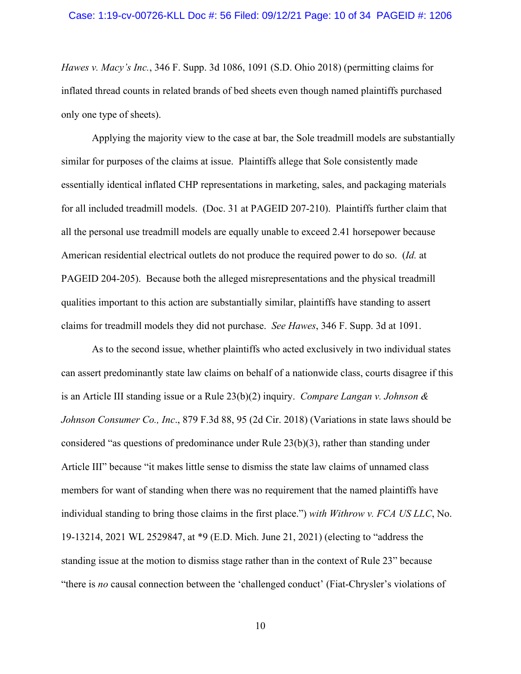#### Case: 1:19-cv-00726-KLL Doc #: 56 Filed: 09/12/21 Page: 10 of 34 PAGEID #: 1206

*Hawes v. Macy's Inc.*[, 346 F. Supp. 3d 1086, 1091 \(S.D. Ohio 2018\)](https://1.next.westlaw.com/Link/Document/FullText?transitionType=Default&contextData=(oc.Default)) (permitting claims for inflated thread counts in related brands of bed sheets even though named plaintiffs purchased only one type of sheets).

Applying the majority view to the case at bar, the Sole treadmill models are substantially similar for purposes of the claims at issue. Plaintiffs allege that Sole consistently made essentially identical inflated CHP representations in marketing, sales, and packaging materials for all included treadmill models. (Doc. 31 at PAGEID 207-210). Plaintiffs further claim that all the personal use treadmill models are equally unable to exceed 2.41 horsepower because American residential electrical outlets do not produce the required power to do so. (*Id.* at PAGEID 204-205). Because both the alleged misrepresentations and the physical treadmill qualities important to this action are substantially similar, plaintiffs have standing to assert claims for treadmill models they did not purchase. *See Hawes*, 346 F. Supp. 3d at 1091.

As to the second issue, whether plaintiffs who acted exclusively in two individual states can assert predominantly state law claims on behalf of a nationwide class, courts disagree if this is an Article III standing issue or a Rule 23(b)(2) inquiry. *Compare Langan v. Johnson & Johnson Consumer Co., Inc*., 879 F.3d 88, 95 (2d Cir. 2018) (Variations in state laws should be considered "as questions of predominance under Rule 23(b)(3), rather than standing under Article III" because "it makes little sense to dismiss the state law claims of unnamed class members for want of standing when there was no requirement that the named plaintiffs have individual standing to bring those claims in the first place.") *with Withrow v. FCA US LLC*, No. 19-13214, 2021 WL 2529847, at \*9 (E.D. Mich. June 21, 2021) (electing to "address the standing issue at the motion to dismiss stage rather than in the context of Rule 23" because "there is *no* causal connection between the 'challenged conduct' (Fiat-Chrysler's violations of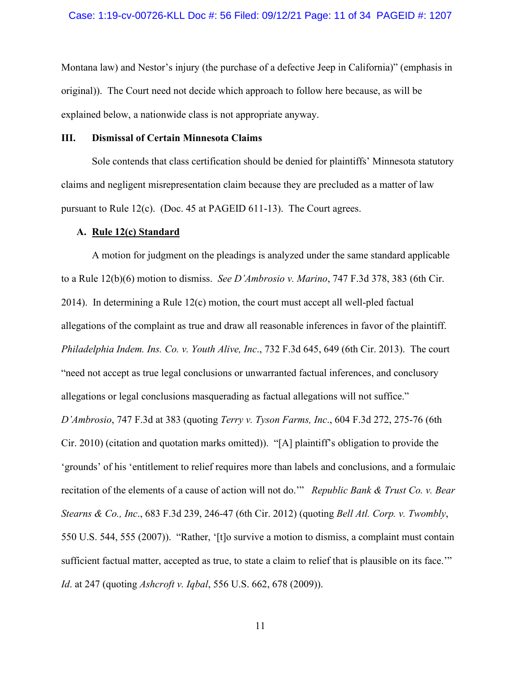Montana law) and Nestor's injury (the purchase of a defective Jeep in California)" (emphasis in original)). The Court need not decide which approach to follow here because, as will be explained below, a nationwide class is not appropriate anyway.

### **III. Dismissal of Certain Minnesota Claims**

Sole contends that class certification should be denied for plaintiffs' Minnesota statutory claims and negligent misrepresentation claim because they are precluded as a matter of law pursuant to Rule 12(c). (Doc. 45 at PAGEID 611-13). The Court agrees.

#### **A. Rule 12(c) Standard**

A motion for judgment on the pleadings is analyzed under the same standard applicable to a Rule 12(b)(6) motion to dismiss. *See D'Ambrosio v. Marino*, 747 F.3d 378, 383 (6th Cir. 2014). In determining a Rule 12(c) motion, the court must accept all well-pled factual allegations of the complaint as true and draw all reasonable inferences in favor of the plaintiff. *Philadelphia Indem. Ins. Co. v. Youth Alive, Inc*., 732 F.3d 645, 649 (6th Cir. 2013). The court "need not accept as true legal conclusions or unwarranted factual inferences, and conclusory allegations or legal conclusions masquerading as factual allegations will not suffice." *D'Ambrosio*, 747 F.3d at 383 (quoting *Terry v. Tyson Farms, Inc*., 604 F.3d 272, 275-76 (6th Cir. 2010) (citation and quotation marks omitted)). "[A] plaintiff's obligation to provide the 'grounds' of his 'entitlement to relief requires more than labels and conclusions, and a formulaic recitation of the elements of a cause of action will not do.'" *Republic Bank & Trust Co. v. Bear Stearns & Co., Inc*., 683 F.3d 239, 246-47 (6th Cir. 2012) (quoting *Bell Atl. Corp. v. Twombly*, 550 U.S. 544, 555 (2007)). "Rather, '[t]o survive a motion to dismiss, a complaint must contain sufficient factual matter, accepted as true, to state a claim to relief that is plausible on its face.'" *Id*. at 247 (quoting *Ashcroft v. Iqbal*, 556 U.S. 662, 678 (2009)).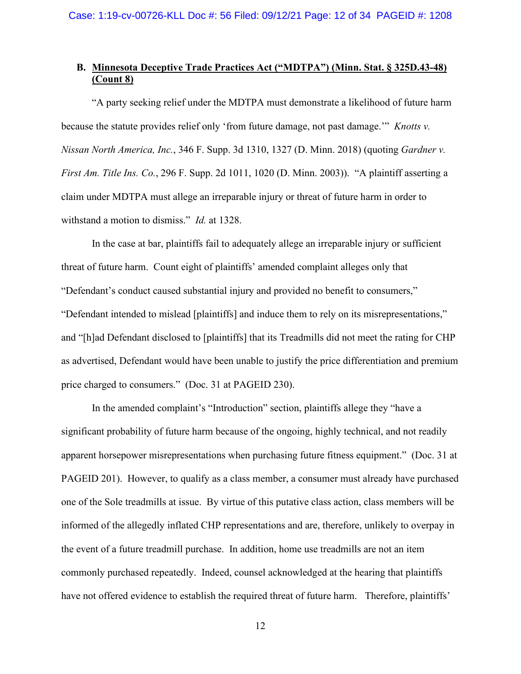# **B. Minnesota Deceptive Trade Practices Act ("MDTPA") (Minn. Stat. § 325D.43-48) (Count 8)**

"A party seeking relief under the MDTPA must demonstrate a likelihood of future harm because the statute provides relief only 'from future damage, not past damage.'" *Knotts v. Nissan North America, Inc.*, 346 F. Supp. 3d 1310, 1327 (D. Minn. 2018) (quoting *Gardner v. First Am. Title Ins. Co.*, 296 F. Supp. 2d 1011, 1020 (D. Minn. 2003)). "A plaintiff asserting a claim under MDTPA must allege an irreparable injury or threat of future harm in order to withstand a motion to dismiss." *Id.* at 1328.

In the case at bar, plaintiffs fail to adequately allege an irreparable injury or sufficient threat of future harm. Count eight of plaintiffs' amended complaint alleges only that "Defendant's conduct caused substantial injury and provided no benefit to consumers," "Defendant intended to mislead [plaintiffs] and induce them to rely on its misrepresentations," and "[h]ad Defendant disclosed to [plaintiffs] that its Treadmills did not meet the rating for CHP as advertised, Defendant would have been unable to justify the price differentiation and premium price charged to consumers." (Doc. 31 at PAGEID 230).

In the amended complaint's "Introduction" section, plaintiffs allege they "have a significant probability of future harm because of the ongoing, highly technical, and not readily apparent horsepower misrepresentations when purchasing future fitness equipment." (Doc. 31 at PAGEID 201). However, to qualify as a class member, a consumer must already have purchased one of the Sole treadmills at issue. By virtue of this putative class action, class members will be informed of the allegedly inflated CHP representations and are, therefore, unlikely to overpay in the event of a future treadmill purchase. In addition, home use treadmills are not an item commonly purchased repeatedly. Indeed, counsel acknowledged at the hearing that plaintiffs have not offered evidence to establish the required threat of future harm. Therefore, plaintiffs'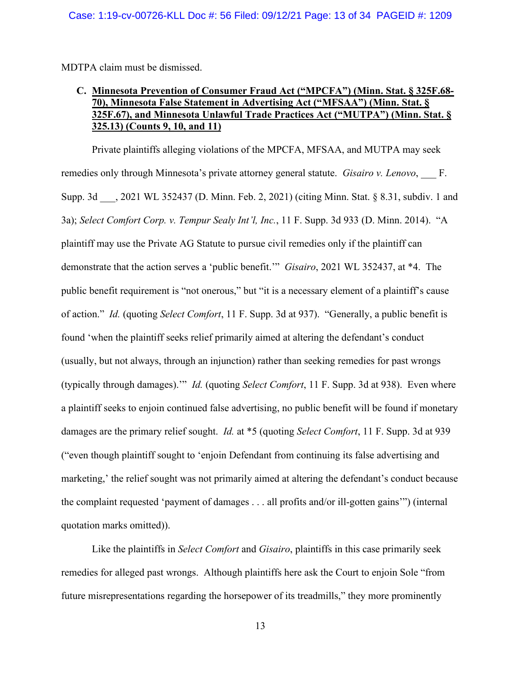MDTPA claim must be dismissed.

# **C. Minnesota Prevention of Consumer Fraud Act ("MPCFA") (Minn. Stat. § 325F.68- 70), Minnesota False Statement in Advertising Act ("MFSAA") (Minn. Stat. § 325F.67), and Minnesota Unlawful Trade Practices Act ("MUTPA") (Minn. Stat. § 325.13) (Counts 9, 10, and 11)**

Private plaintiffs alleging violations of the MPCFA, MFSAA, and MUTPA may seek remedies only through Minnesota's private attorney general statute. *Gisairo v. Lenovo*, F. Supp. 3d ... 2021 WL 352437 (D. Minn. Feb. 2, 2021) (citing Minn. Stat. § 8.31, subdiv. 1 and 3a); *Select Comfort Corp. v. Tempur Sealy Int'l, Inc.*, 11 F. Supp. 3d 933 (D. Minn. 2014). "A plaintiff may use the Private AG Statute to pursue civil remedies only if the plaintiff can demonstrate that the action serves a 'public benefit.'" *Gisairo*, 2021 WL 352437, at \*4. The public benefit requirement is "not onerous," but "it is a necessary element of a plaintiff's cause of action." *Id.* (quoting *Select Comfort*, 11 F. Supp. 3d at 937). "Generally, a public benefit is found 'when the plaintiff seeks relief primarily aimed at altering the defendant's conduct (usually, but not always, through an injunction) rather than seeking remedies for past wrongs (typically through damages).'" *Id.* (quoting *Select Comfort*, 11 F. Supp. 3d at 938). Even where a plaintiff seeks to enjoin continued false advertising, no public benefit will be found if monetary damages are the primary relief sought. *Id.* at \*5 (quoting *Select Comfort*, 11 F. Supp. 3d at 939 ("even though plaintiff sought to 'enjoin Defendant from continuing its false advertising and marketing,' the relief sought was not primarily aimed at altering the defendant's conduct because the complaint requested 'payment of damages . . . all profits and/or ill-gotten gains'") (internal quotation marks omitted)).

Like the plaintiffs in *Select Comfort* and *Gisairo*, plaintiffs in this case primarily seek remedies for alleged past wrongs. Although plaintiffs here ask the Court to enjoin Sole "from future misrepresentations regarding the horsepower of its treadmills," they more prominently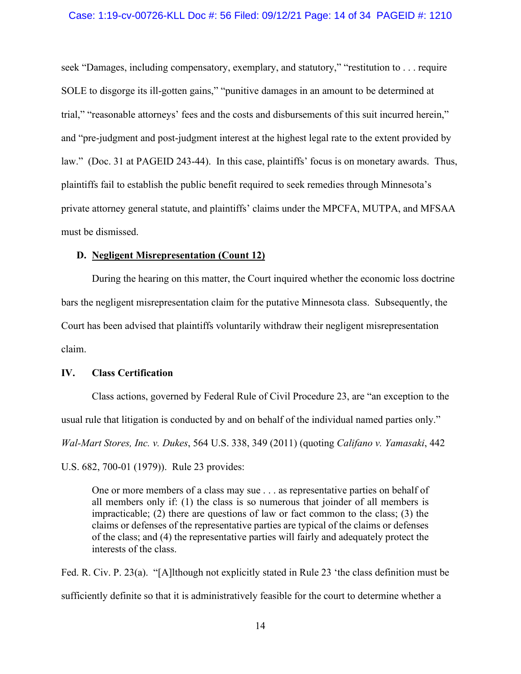#### Case: 1:19-cv-00726-KLL Doc #: 56 Filed: 09/12/21 Page: 14 of 34 PAGEID #: 1210

seek "Damages, including compensatory, exemplary, and statutory," "restitution to . . . require SOLE to disgorge its ill-gotten gains," "punitive damages in an amount to be determined at trial," "reasonable attorneys' fees and the costs and disbursements of this suit incurred herein," and "pre-judgment and post-judgment interest at the highest legal rate to the extent provided by law." (Doc. 31 at PAGEID 243-44). In this case, plaintiffs' focus is on monetary awards. Thus, plaintiffs fail to establish the public benefit required to seek remedies through Minnesota's private attorney general statute, and plaintiffs' claims under the MPCFA, MUTPA, and MFSAA must be dismissed.

### **D. Negligent Misrepresentation (Count 12)**

During the hearing on this matter, the Court inquired whether the economic loss doctrine bars the negligent misrepresentation claim for the putative Minnesota class. Subsequently, the Court has been advised that plaintiffs voluntarily withdraw their negligent misrepresentation claim.

# **IV. Class Certification**

Class actions, governed by Federal Rule of Civil Procedure 23, are "an exception to the usual rule that litigation is conducted by and on behalf of the individual named parties only." *Wal-Mart Stores, Inc. v. Dukes*, 564 U.S. 338, 349 (2011) (quoting *Califano v. Yamasaki*, 442 U.S. 682, 700-01 (1979)).Rule 23 provides:

One or more members of a class may sue . . . as representative parties on behalf of all members only if: (1) the class is so numerous that joinder of all members is impracticable; (2) there are questions of law or fact common to the class; (3) the claims or defenses of the representative parties are typical of the claims or defenses of the class; and (4) the representative parties will fairly and adequately protect the interests of the class.

Fed. R. Civ. P. 23(a). "[A]lthough not explicitly stated in Rule 23 'the class definition must be sufficiently definite so that it is administratively feasible for the court to determine whether a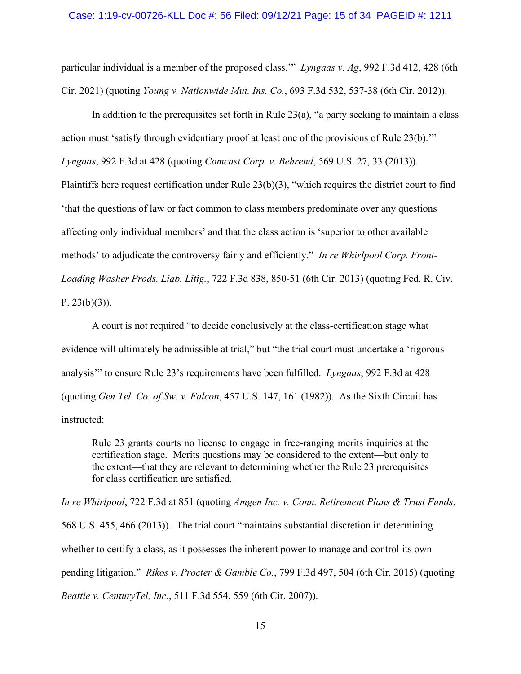#### Case: 1:19-cv-00726-KLL Doc #: 56 Filed: 09/12/21 Page: 15 of 34 PAGEID #: 1211

particular individual is a member of the proposed class.'" *Lyngaas v. Ag*, 992 F.3d 412, 428 (6th Cir. 2021) (quoting *Young v. Nationwide Mut. Ins. Co.*, 693 F.3d 532, 537-38 (6th Cir. 2012)).

In addition to the prerequisites set forth in Rule  $23(a)$ , "a party seeking to maintain a class action must 'satisfy through evidentiary proof at least one of the provisions of Rule 23(b).'" *Lyngaas*, 992 F.3d at 428 (quoting *Comcast Corp. v. Behrend*, 569 U.S. 27, 33 (2013)). Plaintiffs here request certification under Rule 23(b)(3), "which requires the district court to find 'that the questions of law or fact common to class members predominate over any questions affecting only individual members' and that the class action is 'superior to other available methods' to adjudicate the controversy fairly and efficiently." *In re Whirlpool Corp. Front-Loading Washer Prods. Liab. Litig.*, 722 F.3d 838, 850-51 (6th Cir. 2013) (quoting Fed. R. Civ. P.  $23(b)(3)$ ).

A court is not required "to decide conclusively at the class-certification stage what evidence will ultimately be admissible at trial," but "the trial court must undertake a 'rigorous analysis'" to ensure Rule 23's requirements have been fulfilled. *Lyngaas*, 992 F.3d at 428 (quoting *Gen Tel. Co. of Sw. v. Falcon*, 457 U.S. 147, 161 (1982)). As the Sixth Circuit has instructed:

Rule 23 grants courts no license to engage in free-ranging merits inquiries at the certification stage. Merits questions may be considered to the extent—but only to the extent—that they are relevant to determining whether the Rule 23 prerequisites for class certification are satisfied.

*In re Whirlpool*, 722 F.3d at 851 (quoting *Amgen Inc. v. Conn. Retirement Plans & Trust Funds*, 568 U.S. 455, 466 (2013)). The trial court "maintains substantial discretion in determining whether to certify a class, as it possesses the inherent power to manage and control its own pending litigation." *Rikos v. Procter & Gamble Co.*, 799 F.3d 497, 504 (6th Cir. 2015) (quoting *Beattie v. CenturyTel, Inc.*, 511 F.3d 554, 559 (6th Cir. 2007)).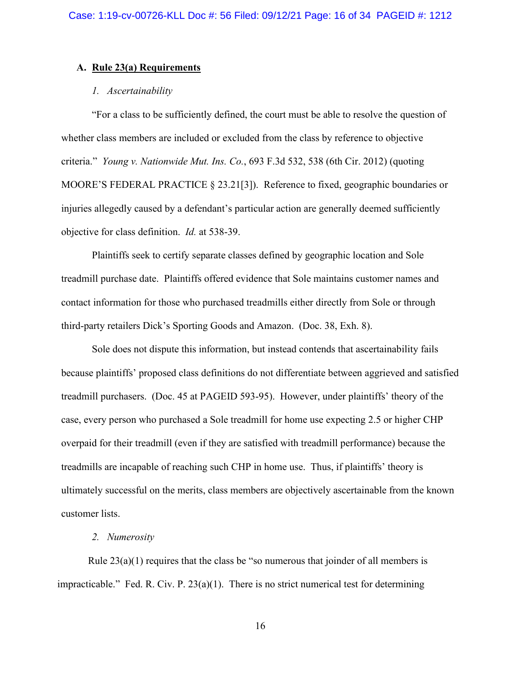# **A. Rule 23(a) Requirements**

### *1. Ascertainability*

"For a class to be sufficiently defined, the court must be able to resolve the question of whether class members are included or excluded from the class by reference to objective criteria." *Young v. Nationwide Mut. Ins. Co.*, 693 F.3d 532, 538 (6th Cir. 2012) (quoting MOORE'S FEDERAL PRACTICE § 23.21[3]). Reference to fixed, geographic boundaries or injuries allegedly caused by a defendant's particular action are generally deemed sufficiently objective for class definition. *Id.* at 538-39.

Plaintiffs seek to certify separate classes defined by geographic location and Sole treadmill purchase date. Plaintiffs offered evidence that Sole maintains customer names and contact information for those who purchased treadmills either directly from Sole or through third-party retailers Dick's Sporting Goods and Amazon. (Doc. 38, Exh. 8).

Sole does not dispute this information, but instead contends that ascertainability fails because plaintiffs' proposed class definitions do not differentiate between aggrieved and satisfied treadmill purchasers. (Doc. 45 at PAGEID 593-95). However, under plaintiffs' theory of the case, every person who purchased a Sole treadmill for home use expecting 2.5 or higher CHP overpaid for their treadmill (even if they are satisfied with treadmill performance) because the treadmills are incapable of reaching such CHP in home use. Thus, if plaintiffs' theory is ultimately successful on the merits, class members are objectively ascertainable from the known customer lists.

#### *2. Numerosity*

Rule  $23(a)(1)$  requires that the class be "so numerous that joinder of all members is impracticable." Fed. R. Civ. P. 23(a)(1). There is no strict numerical test for determining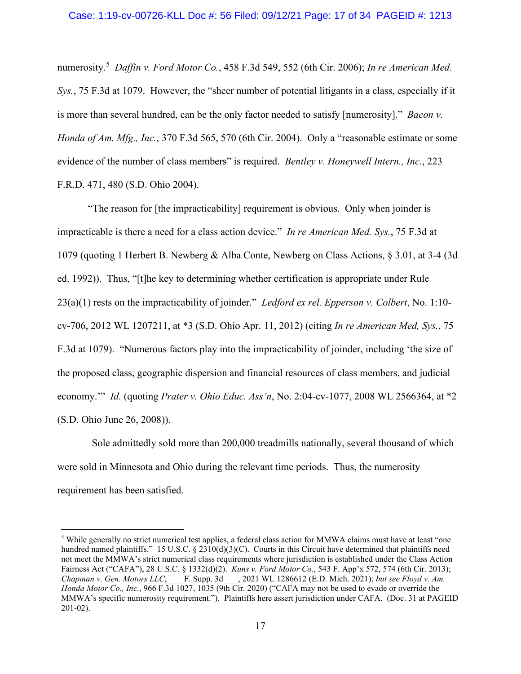numerosity.[5](#page-16-0) *Daffin v. Ford Motor Co.*, 458 F.3d 549, 552 (6th Cir. 2006); *In re American Med. Sys.*, 75 F.3d at 1079. However, the "sheer number of potential litigants in a class, especially if it is more than several hundred, can be the only factor needed to satisfy [numerosity]." *Bacon v. Honda of Am. Mfg., Inc.*, 370 F.3d 565, 570 (6th Cir. 2004). Only a "reasonable estimate or some evidence of the number of class members" is required. *Bentley v. Honeywell Intern., Inc.*, 223 F.R.D. 471, 480 (S.D. Ohio 2004).

"The reason for [the impracticability] requirement is obvious. Only when joinder is impracticable is there a need for a class action device." *In re American Med. Sys.*, 75 F.3d at 1079 (quoting 1 Herbert B. Newberg & Alba Conte, Newberg on Class Actions, § 3.01, at 3-4 (3d ed. 1992)). Thus, "[t]he key to determining whether certification is appropriate under Rule 23(a)(1) rests on the impracticability of joinder." *Ledford ex rel. Epperson v. Colbert*, No. 1:10 cv-706, 2012 WL 1207211, at \*3 (S.D. Ohio Apr. 11, 2012) (citing *In re American Med, Sys.*, 75 F.3d at 1079). "Numerous factors play into the impracticability of joinder, including 'the size of the proposed class, geographic dispersion and financial resources of class members, and judicial economy.'" *Id.* (quoting *Prater v. Ohio Educ. Ass'n*, No. 2:04-cv-1077, 2008 WL 2566364, at \*2 (S.D. Ohio June 26, 2008)).

Sole admittedly sold more than 200,000 treadmills nationally, several thousand of which were sold in Minnesota and Ohio during the relevant time periods. Thus, the numerosity requirement has been satisfied.

<span id="page-16-0"></span><sup>&</sup>lt;sup>5</sup> While generally no strict numerical test applies, a federal class action for MMWA claims must have at least "one hundred named plaintiffs." 15 U.S.C. § 2310(d)(3)(C). Courts in this Circuit have determined that plaintiffs need not meet the MMWA's strict numerical class requirements where jurisdiction is established under the Class Action Fairness Act ("CAFA"), 28 U.S.C. § 1332(d)(2). *Kuns v. Ford Motor Co.*, 543 F. App'x 572, 574 (6th Cir. 2013); *Chapman v. Gen. Motors LLC*, \_\_\_ F. Supp. 3d \_\_\_, 2021 WL 1286612 (E.D. Mich. 2021); *but see Floyd v. Am. Honda Motor Co., Inc.*, 966 F.3d 1027, 1035 (9th Cir. 2020) ("CAFA may not be used to evade or override the MMWA's specific numerosity requirement."). Plaintiffs here assert jurisdiction under CAFA. (Doc. 31 at PAGEID 201-02).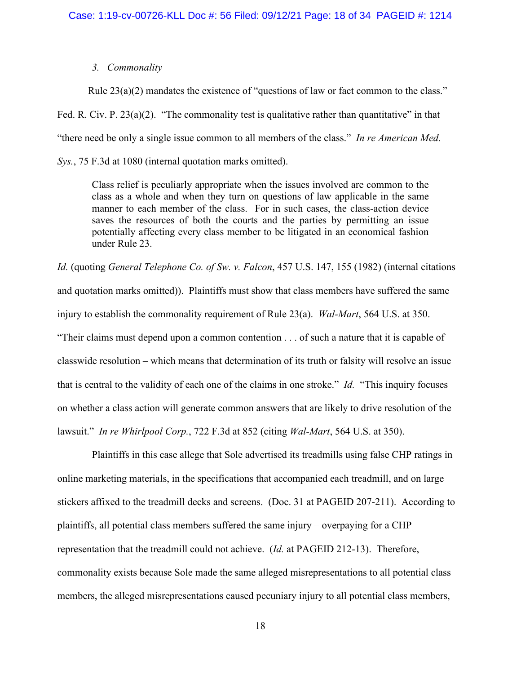### *3. Commonality*

Rule 23(a)(2) mandates the existence of "questions of law or fact common to the class." Fed. R. Civ. P.  $23(a)(2)$ . "The commonality test is qualitative rather than quantitative" in that "there need be only a single issue common to all members of the class." *In re American Med. Sys.*, 75 F.3d at 1080 (internal quotation marks omitted).

Class relief is peculiarly appropriate when the issues involved are common to the class as a whole and when they turn on questions of law applicable in the same manner to each member of the class. For in such cases, the class-action device saves the resources of both the courts and the parties by permitting an issue potentially affecting every class member to be litigated in an economical fashion under Rule 23.

*Id.* (quoting *General Telephone Co. of Sw. v. Falcon*, 457 U.S. 147, 155 (1982) (internal citations and quotation marks omitted)). Plaintiffs must show that class members have suffered the same injury to establish the commonality requirement of Rule 23(a). *Wal-Mart*, 564 U.S. at 350. "Their claims must depend upon a common contention . . . of such a nature that it is capable of classwide resolution – which means that determination of its truth or falsity will resolve an issue that is central to the validity of each one of the claims in one stroke." *Id.* "This inquiry focuses on whether a class action will generate common answers that are likely to drive resolution of the lawsuit." *In re Whirlpool Corp.*, 722 F.3d at 852 (citing *Wal-Mart*, 564 U.S. at 350).

Plaintiffs in this case allege that Sole advertised its treadmills using false CHP ratings in online marketing materials, in the specifications that accompanied each treadmill, and on large stickers affixed to the treadmill decks and screens. (Doc. 31 at PAGEID 207-211). According to plaintiffs, all potential class members suffered the same injury – overpaying for a CHP representation that the treadmill could not achieve. (*Id.* at PAGEID 212-13). Therefore, commonality exists because Sole made the same alleged misrepresentations to all potential class members, the alleged misrepresentations caused pecuniary injury to all potential class members,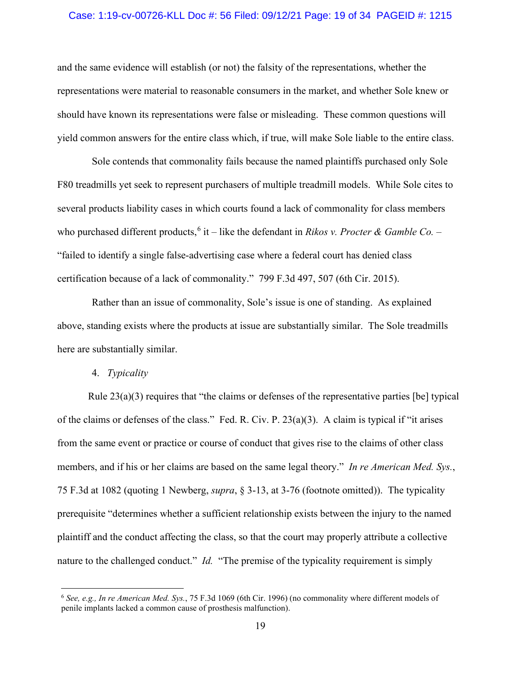#### Case: 1:19-cv-00726-KLL Doc #: 56 Filed: 09/12/21 Page: 19 of 34 PAGEID #: 1215

and the same evidence will establish (or not) the falsity of the representations, whether the representations were material to reasonable consumers in the market, and whether Sole knew or should have known its representations were false or misleading. These common questions will yield common answers for the entire class which, if true, will make Sole liable to the entire class.

Sole contends that commonality fails because the named plaintiffs purchased only Sole F80 treadmills yet seek to represent purchasers of multiple treadmill models. While Sole cites to several products liability cases in which courts found a lack of commonality for class members who purchased different products, [6](#page-18-0) it – like the defendant in *Rikos v. Procter & Gamble Co.* – "failed to identify a single false-advertising case where a federal court has denied class certification because of a lack of commonality." 799 F.3d 497, 507 (6th Cir. 2015).

Rather than an issue of commonality, Sole's issue is one of standing. As explained above, standing exists where the products at issue are substantially similar. The Sole treadmills here are substantially similar.

# 4. *Typicality*

Rule 23(a)(3) requires that "the claims or defenses of the representative parties [be] typical of the claims or defenses of the class." Fed. R. Civ. P.  $23(a)(3)$ . A claim is typical if "it arises" from the same event or practice or course of conduct that gives rise to the claims of other class members, and if his or her claims are based on the same legal theory." *In re American Med. Sys.*, 75 F.3d at 1082 (quoting 1 Newberg, *supra*, § 3-13, at 3-76 (footnote omitted)). The typicality prerequisite "determines whether a sufficient relationship exists between the injury to the named plaintiff and the conduct affecting the class, so that the court may properly attribute a collective nature to the challenged conduct." *Id.* "The premise of the typicality requirement is simply

<span id="page-18-0"></span><sup>6</sup> *See, e.g., In re American Med. Sys.*, 75 F.3d 1069 (6th Cir. 1996) (no commonality where different models of penile implants lacked a common cause of prosthesis malfunction).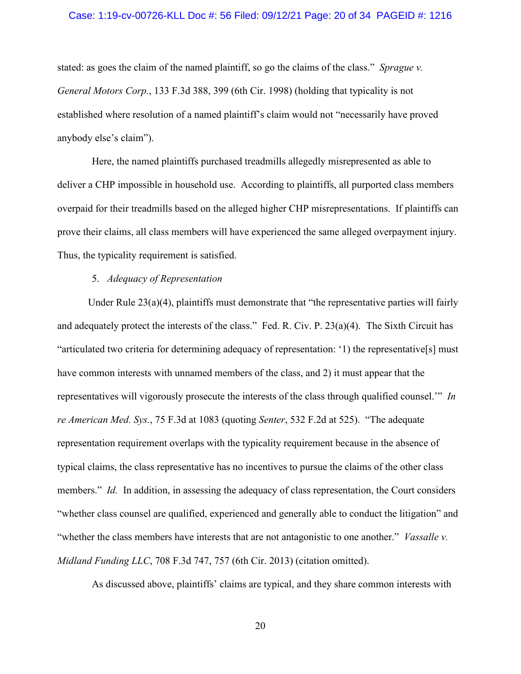#### Case: 1:19-cv-00726-KLL Doc #: 56 Filed: 09/12/21 Page: 20 of 34 PAGEID #: 1216

stated: as goes the claim of the named plaintiff, so go the claims of the class." *Sprague v. General Motors Corp.*, 133 F.3d 388, 399 (6th Cir. 1998) (holding that typicality is not established where resolution of a named plaintiff's claim would not "necessarily have proved anybody else's claim").

Here, the named plaintiffs purchased treadmills allegedly misrepresented as able to deliver a CHP impossible in household use. According to plaintiffs, all purported class members overpaid for their treadmills based on the alleged higher CHP misrepresentations. If plaintiffs can prove their claims, all class members will have experienced the same alleged overpayment injury. Thus, the typicality requirement is satisfied.

### 5. *Adequacy of Representation*

Under Rule  $23(a)(4)$ , plaintiffs must demonstrate that "the representative parties will fairly and adequately protect the interests of the class." Fed. R. Civ. P. 23(a)(4). The Sixth Circuit has "articulated two criteria for determining adequacy of representation: '1) the representative[s] must have common interests with unnamed members of the class, and 2) it must appear that the representatives will vigorously prosecute the interests of the class through qualified counsel.'" *In re American Med. Sys.*, 75 F.3d at 1083 (quoting *Senter*, 532 F.2d at 525). "The adequate representation requirement overlaps with the typicality requirement because in the absence of typical claims, the class representative has no incentives to pursue the claims of the other class members." *Id.* In addition, in assessing the adequacy of class representation, the Court considers "whether class counsel are qualified, experienced and generally able to conduct the litigation" and "whether the class members have interests that are not antagonistic to one another." *Vassalle v. Midland Funding LLC*, 708 F.3d 747, 757 (6th Cir. 2013) (citation omitted).

As discussed above, plaintiffs' claims are typical, and they share common interests with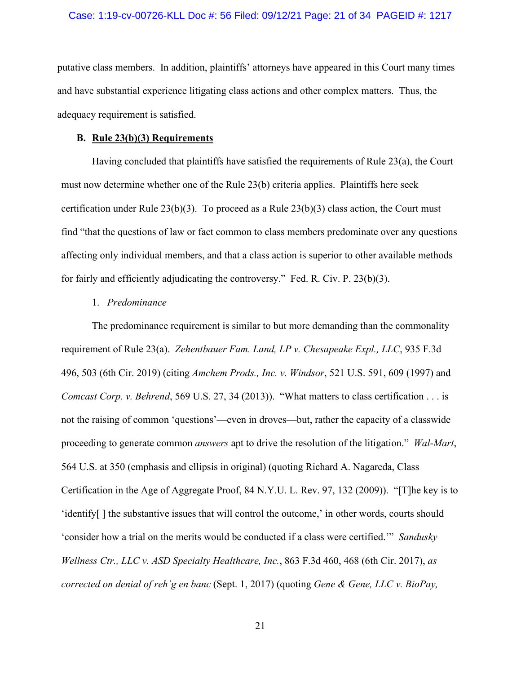putative class members. In addition, plaintiffs' attorneys have appeared in this Court many times and have substantial experience litigating class actions and other complex matters. Thus, the adequacy requirement is satisfied.

#### **B. Rule 23(b)(3) Requirements**

Having concluded that plaintiffs have satisfied the requirements of Rule 23(a), the Court must now determine whether one of the Rule 23(b) criteria applies. Plaintiffs here seek certification under Rule  $23(b)(3)$ . To proceed as a Rule  $23(b)(3)$  class action, the Court must find "that the questions of law or fact common to class members predominate over any questions affecting only individual members, and that a class action is superior to other available methods for fairly and efficiently adjudicating the controversy." Fed. R. Civ. P. 23(b)(3).

### 1. *Predominance*

The predominance requirement is similar to but more demanding than the commonality requirement of Rule 23(a). *Zehentbauer Fam. Land, LP v. Chesapeake Expl., LLC*, 935 F.3d 496, 503 (6th Cir. 2019) (citing *Amchem Prods., Inc. v. Windsor*, 521 U.S. 591, 609 (1997) and *Comcast Corp. v. Behrend*, 569 U.S. 27, 34 (2013)). "What matters to class certification . . . is not the raising of common 'questions'—even in droves—but, rather the capacity of a classwide proceeding to generate common *answers* apt to drive the resolution of the litigation." *Wal-Mart*, 564 U.S. at 350 (emphasis and ellipsis in original) (quoting Richard A. Nagareda, Class Certification in the Age of Aggregate Proof, 84 N.Y.U. L. Rev. 97, 132 (2009)). "[T]he key is to 'identify[ ] the substantive issues that will control the outcome,' in other words, courts should 'consider how a trial on the merits would be conducted if a class were certified.'" *[Sandusky](https://1.next.westlaw.com/Document/Ib7166d30669511e7bb97edaf3db64019/View/FullText.html?transitionType=Default&contextData=(oc.Default))  [Wellness Ctr., LLC v. ASD Specialty Healthcare, Inc.](https://1.next.westlaw.com/Document/Ib7166d30669511e7bb97edaf3db64019/View/FullText.html?transitionType=Default&contextData=(oc.Default))*, 863 F.3d 460, 468 (6th Cir. 2017), *as corrected on denial of reh'g en banc* (Sept. 1, 2017) (quoting *Gene & Gene, LLC v. BioPay,*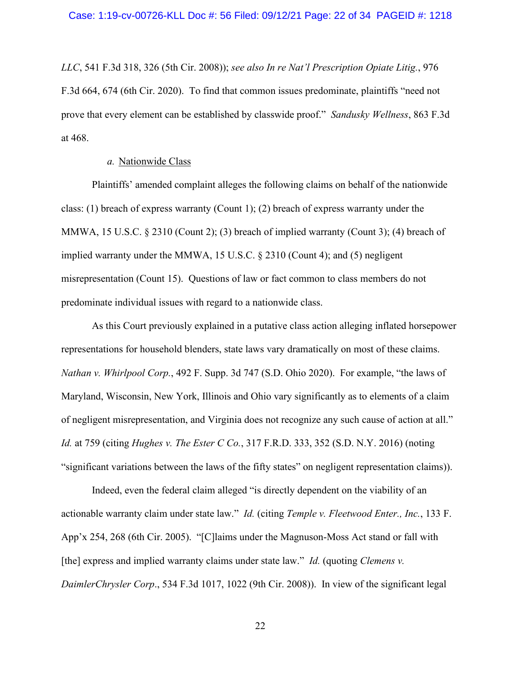*LLC*, 541 F.3d 318, 326 (5th Cir. 2008)); *see also In re Nat'l Prescription Opiate Litig.*, 976 F.3d 664, 674 (6th Cir. 2020). To find that common issues predominate, plaintiffs "need not prove that every element can be established by classwide proof." *Sandusky Wellness*, 863 F.3d at 468.

### *a.* Nationwide Class

Plaintiffs' amended complaint alleges the following claims on behalf of the nationwide class: (1) breach of express warranty (Count 1); (2) breach of express warranty under the MMWA, 15 U.S.C. § 2310 (Count 2); (3) breach of implied warranty (Count 3); (4) breach of implied warranty under the MMWA, 15 U.S.C. § 2310 (Count 4); and (5) negligent misrepresentation (Count 15). Questions of law or fact common to class members do not predominate individual issues with regard to a nationwide class.

As this Court previously explained in a putative class action alleging inflated horsepower representations for household blenders, state laws vary dramatically on most of these claims. *Nathan v. Whirlpool Corp.*, 492 F. Supp. 3d 747 (S.D. Ohio 2020). For example, "the laws of Maryland, Wisconsin, New York, Illinois and Ohio vary significantly as to elements of a claim of negligent misrepresentation, and Virginia does not recognize any such cause of action at all." *Id.* at 759 (citing *Hughes v. The Ester C Co.*, 317 F.R.D. 333, 352 (S.D. N.Y. 2016) (noting "significant variations between the laws of the fifty states" on negligent representation claims)).

Indeed, even the federal claim alleged "is directly dependent on the viability of an actionable warranty claim under state law." *Id.* (citing *Temple v. Fleetwood Enter., Inc.*, 133 F. App'x 254, 268 (6th Cir. 2005). "[C]laims under the Magnuson-Moss Act stand or fall with [the] express and implied warranty claims under state law." *Id.* (quoting *Clemens v. DaimlerChrysler Corp*., 534 F.3d 1017, 1022 (9th Cir. 2008)). In view of the significant legal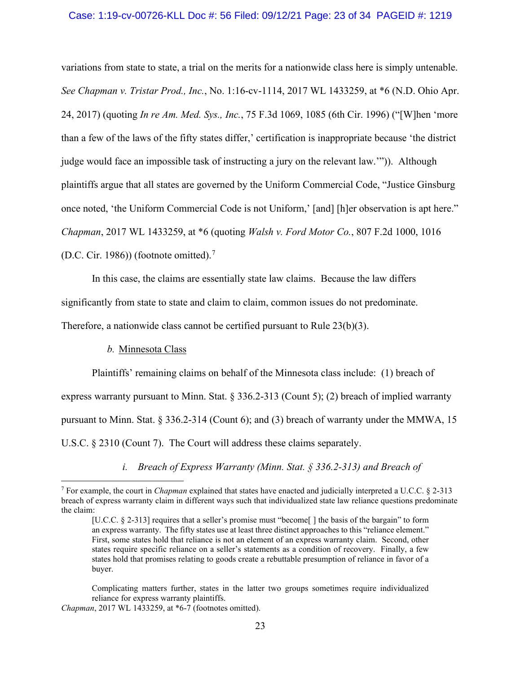### Case: 1:19-cv-00726-KLL Doc #: 56 Filed: 09/12/21 Page: 23 of 34 PAGEID #: 1219

variations from state to state, a trial on the merits for a nationwide class here is simply untenable. *See Chapman v. Tristar Prod., Inc.*, No. 1:16-cv-1114, 2017 WL 1433259, at \*6 (N.D. Ohio Apr. 24, 2017) (quoting *In re Am. Med. Sys., Inc.*, 75 F.3d 1069, 1085 (6th Cir. 1996) ("[W]hen 'more than a few of the laws of the fifty states differ,' certification is inappropriate because 'the district judge would face an impossible task of instructing a jury on the relevant law.'")). Although plaintiffs argue that all states are governed by the Uniform Commercial Code, "Justice Ginsburg once noted, 'the Uniform Commercial Code is not Uniform,' [and] [h]er observation is apt here." *Chapman*, 2017 WL 1433259, at \*6 (quoting *Walsh v. Ford Motor Co.*, 807 F.2d 1000, 1016 (D.C. Cir. 1986)) (footnote omitted).<sup>[7](#page-22-0)</sup>

In this case, the claims are essentially state law claims. Because the law differs significantly from state to state and claim to claim, common issues do not predominate.

Therefore, a nationwide class cannot be certified pursuant to Rule 23(b)(3).

### *b.* Minnesota Class

Plaintiffs' remaining claims on behalf of the Minnesota class include: (1) breach of express warranty pursuant to Minn. Stat. § 336.2-313 (Count 5); (2) breach of implied warranty pursuant to Minn. Stat. § 336.2-314 (Count 6); and (3) breach of warranty under the MMWA, 15 U.S.C. § 2310 (Count 7). The Court will address these claims separately.

*i. Breach of Express Warranty (Minn. Stat. § 336.2-313) and Breach of* 

Complicating matters further, states in the latter two groups sometimes require individualized reliance for express warranty plaintiffs.

<span id="page-22-0"></span><sup>7</sup> For example, the court in *Chapman* explained that states have enacted and judicially interpreted a U.C.C. § 2-313 breach of express warranty claim in different ways such that individualized state law reliance questions predominate the claim:

<sup>[</sup>U.C.C. § 2-313] requires that a seller's promise must "become[] the basis of the bargain" to form an express warranty. The fifty states use at least three distinct approaches to this "reliance element." First, some states hold that reliance is not an element of an express warranty claim. Second, other states require specific reliance on a seller's statements as a condition of recovery. Finally, a few states hold that promises relating to goods create a rebuttable presumption of reliance in favor of a buyer.

*Chapman*, 2017 WL 1433259, at \*6-7 (footnotes omitted).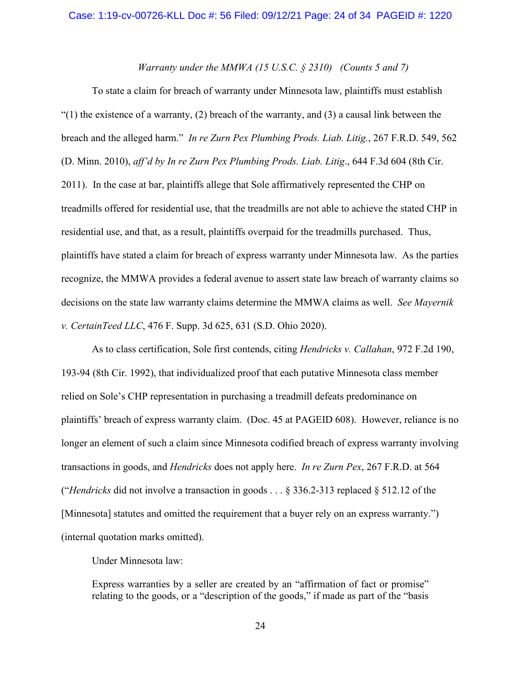### *Warranty under the MMWA (15 U.S.C. § 2310) (Counts 5 and 7)*

To state a claim for breach of warranty under Minnesota law, plaintiffs must establish  $(1)$  the existence of a warranty, (2) breach of the warranty, and (3) a causal link between the breach and the alleged harm." *In re Zurn Pex Plumbing Prods. Liab. Litig.*, 267 F.R.D. 549, 562 (D. Minn. 2010), *aff'd by In re Zurn Pex Plumbing Prods. Liab. Litig*., 644 F.3d 604 (8th Cir. 2011). In the case at bar, plaintiffs allege that Sole affirmatively represented the CHP on treadmills offered for residential use, that the treadmills are not able to achieve the stated CHP in residential use, and that, as a result, plaintiffs overpaid for the treadmills purchased. Thus, plaintiffs have stated a claim for breach of express warranty under Minnesota law. As the parties recognize, the MMWA provides a federal avenue to assert state law breach of warranty claims so decisions on the state law warranty claims determine the MMWA claims as well. *See Mayernik v. CertainTeed LLC*, 476 F. Supp. 3d 625, 631 (S.D. Ohio 2020).

As to class certification, Sole first contends, citing *Hendricks v. Callahan*, 972 F.2d 190, 193-94 (8th Cir. 1992), that individualized proof that each putative Minnesota class member relied on Sole's CHP representation in purchasing a treadmill defeats predominance on plaintiffs' breach of express warranty claim. (Doc. 45 at PAGEID 608). However, reliance is no longer an element of such a claim since Minnesota codified breach of express warranty involving transactions in goods, and *Hendricks* does not apply here. *In re Zurn Pex*, 267 F.R.D. at 564 ("*Hendricks* did not involve a transaction in goods . . . § 336.2-313 replaced § 512.12 of the [Minnesota] statutes and omitted the requirement that a buyer rely on an express warranty.") (internal quotation marks omitted).

Under Minnesota law:

Express warranties by a seller are created by an "affirmation of fact or promise" relating to the goods, or a "description of the goods," if made as part of the "basis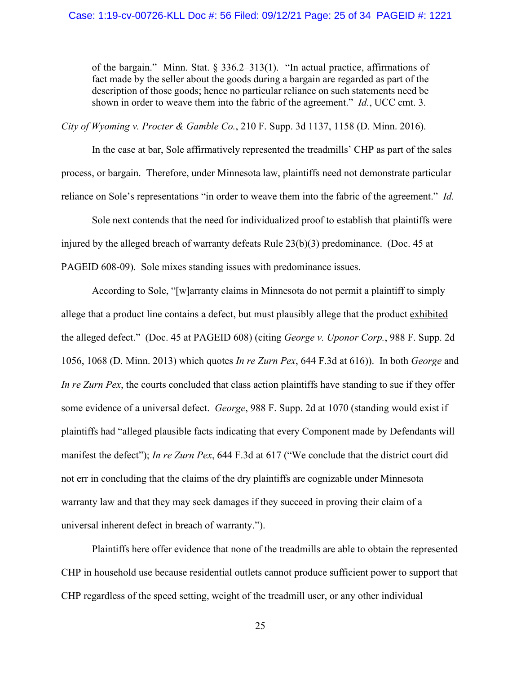of the bargain." Minn. Stat. § 336.2–313(1). "In actual practice, affirmations of fact made by the seller about the goods during a bargain are regarded as part of the description of those goods; hence no particular reliance on such statements need be shown in order to weave them into the fabric of the agreement." *Id.*, UCC cmt. 3.

*City of Wyoming v. Procter & Gamble Co.*, [210 F. Supp. 3d 1137, 1158 \(D. Minn. 2016\).](https://1.next.westlaw.com/Document/I83a5a4f0873b11e69981dc2250b07c82/View/FullText.html?transitionType=Default&contextData=(oc.Default))

In the case at bar, Sole affirmatively represented the treadmills' CHP as part of the sales process, or bargain. Therefore, under Minnesota law, plaintiffs need not demonstrate particular reliance on Sole's representations "in order to weave them into the fabric of the agreement." *Id.*

Sole next contends that the need for individualized proof to establish that plaintiffs were injured by the alleged breach of warranty defeats Rule 23(b)(3) predominance. (Doc. 45 at PAGEID 608-09). Sole mixes standing issues with predominance issues.

According to Sole, "[w]arranty claims in Minnesota do not permit a plaintiff to simply allege that a product line contains a defect, but must plausibly allege that the product exhibited the alleged defect." (Doc. 45 at PAGEID 608) (citing *George v. Uponor Corp.*, 988 F. Supp. 2d 1056, 1068 (D. Minn. 2013) which quotes *In re Zurn Pex*, 644 F.3d at 616)). In both *George* and *In re Zurn Pex*, the courts concluded that class action plaintiffs have standing to sue if they offer some evidence of a universal defect. *George*, 988 F. Supp. 2d at 1070 (standing would exist if plaintiffs had "alleged plausible facts indicating that every Component made by Defendants will manifest the defect"); *In re Zurn Pex*, 644 F.3d at 617 ("We conclude that the district court did not err in concluding that the claims of the dry plaintiffs are cognizable under Minnesota warranty law and that they may seek damages if they succeed in proving their claim of a universal inherent defect in breach of warranty.").

Plaintiffs here offer evidence that none of the treadmills are able to obtain the represented CHP in household use because residential outlets cannot produce sufficient power to support that CHP regardless of the speed setting, weight of the treadmill user, or any other individual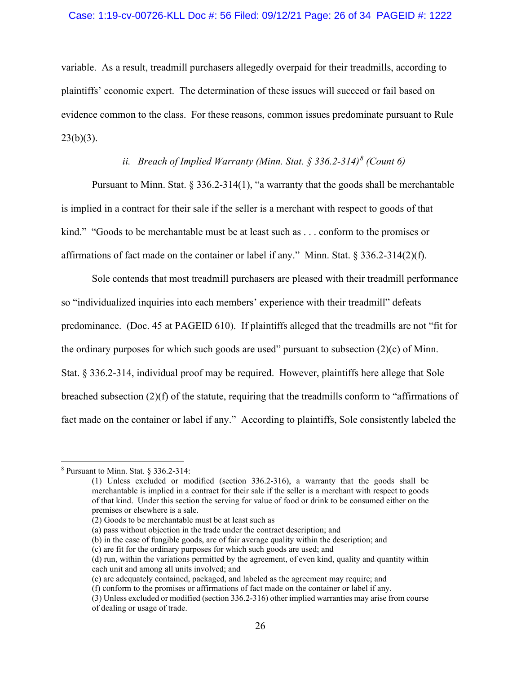#### Case: 1:19-cv-00726-KLL Doc #: 56 Filed: 09/12/21 Page: 26 of 34 PAGEID #: 1222

variable. As a result, treadmill purchasers allegedly overpaid for their treadmills, according to plaintiffs' economic expert. The determination of these issues will succeed or fail based on evidence common to the class. For these reasons, common issues predominate pursuant to Rule  $23(b)(3)$ .

## *ii. Breach of Implied Warranty (Minn. Stat. § 336.2-314)[8](#page-25-0) (Count 6)*

Pursuant to Minn. Stat. § 336.2-314(1), "a warranty that the goods shall be merchantable is implied in a contract for their sale if the seller is a merchant with respect to goods of that kind." "Goods to be merchantable must be at least such as . . . conform to the promises or affirmations of fact made on the container or label if any." Minn. Stat. § 336.2-314(2)(f).

Sole contends that most treadmill purchasers are pleased with their treadmill performance so "individualized inquiries into each members' experience with their treadmill" defeats predominance. (Doc. 45 at PAGEID 610). If plaintiffs alleged that the treadmills are not "fit for the ordinary purposes for which such goods are used" pursuant to subsection  $(2)(c)$  of Minn. Stat. § 336.2-314, individual proof may be required. However, plaintiffs here allege that Sole breached subsection (2)(f) of the statute, requiring that the treadmills conform to "affirmations of fact made on the container or label if any." According to plaintiffs, Sole consistently labeled the

(b) in the case of fungible goods, are of fair average quality within the description; and

<span id="page-25-0"></span><sup>8</sup> Pursuant to Minn. Stat. § 336.2-314:

<sup>(1)</sup> Unless excluded or modified (section 336.2-316), a warranty that the goods shall be merchantable is implied in a contract for their sale if the seller is a merchant with respect to goods of that kind. Under this section the serving for value of food or drink to be consumed either on the premises or elsewhere is a sale.

<sup>(2)</sup> Goods to be merchantable must be at least such as

<sup>(</sup>a) pass without objection in the trade under the contract description; and

<sup>(</sup>c) are fit for the ordinary purposes for which such goods are used; and

<sup>(</sup>d) run, within the variations permitted by the agreement, of even kind, quality and quantity within each unit and among all units involved; and

<sup>(</sup>e) are adequately contained, packaged, and labeled as the agreement may require; and

<sup>(</sup>f) conform to the promises or affirmations of fact made on the container or label if any.

<sup>(3)</sup> Unless excluded or modified (section 336.2-316) other implied warranties may arise from course of dealing or usage of trade.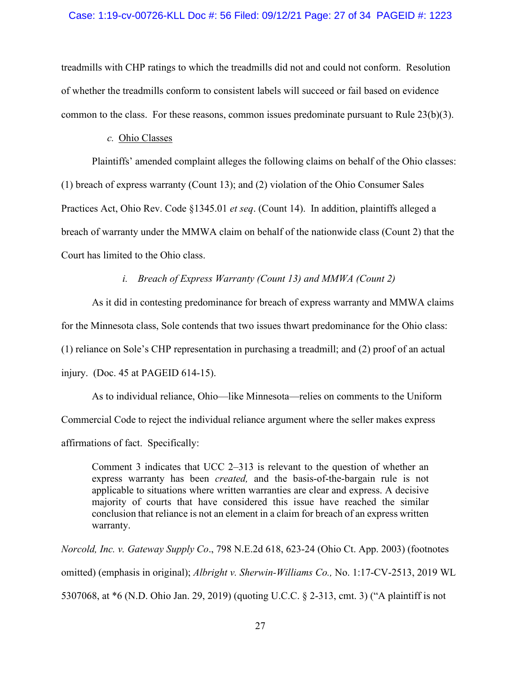### Case: 1:19-cv-00726-KLL Doc #: 56 Filed: 09/12/21 Page: 27 of 34 PAGEID #: 1223

treadmills with CHP ratings to which the treadmills did not and could not conform. Resolution of whether the treadmills conform to consistent labels will succeed or fail based on evidence common to the class. For these reasons, common issues predominate pursuant to Rule  $23(b)(3)$ .

### *c.* Ohio Classes

Plaintiffs' amended complaint alleges the following claims on behalf of the Ohio classes: (1) breach of express warranty (Count 13); and (2) violation of the Ohio Consumer Sales Practices Act, Ohio Rev. Code §1345.01 *et seq*. (Count 14). In addition, plaintiffs alleged a breach of warranty under the MMWA claim on behalf of the nationwide class (Count 2) that the Court has limited to the Ohio class.

*i. Breach of Express Warranty (Count 13) and MMWA (Count 2)*

As it did in contesting predominance for breach of express warranty and MMWA claims for the Minnesota class, Sole contends that two issues thwart predominance for the Ohio class: (1) reliance on Sole's CHP representation in purchasing a treadmill; and (2) proof of an actual injury. (Doc. 45 at PAGEID 614-15).

As to individual reliance, Ohio—like Minnesota—relies on comments to the Uniform Commercial Code to reject the individual reliance argument where the seller makes express affirmations of fact. Specifically:

Comment 3 indicates that UCC 2–313 is relevant to the question of whether an express warranty has been *created,* and the basis-of-the-bargain rule is not applicable to situations where written warranties are clear and express. A decisive majority of courts that have considered this issue have reached the similar conclusion that reliance is not an element in a claim for breach of an express written warranty.

*Norcold, Inc. v. Gateway Supply Co*., 798 N.E.2d 618, 623-24 (Ohio Ct. App. 2003) (footnotes omitted) (emphasis in original); *Albright v. Sherwin-Williams Co.,* No. 1:17-CV-2513, 2019 WL 5307068, at \*6 (N.D. Ohio Jan. 29, 2019) (quoting U.C.C. § 2-313, cmt. 3) ("A plaintiff is not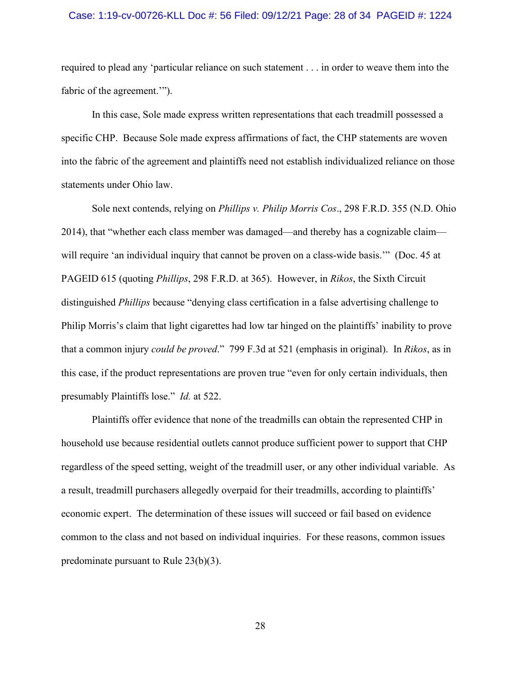#### Case: 1:19-cv-00726-KLL Doc #: 56 Filed: 09/12/21 Page: 28 of 34 PAGEID #: 1224

required to plead any 'particular reliance on such statement . . . in order to weave them into the fabric of the agreement."").

In this case, Sole made express written representations that each treadmill possessed a specific CHP. Because Sole made express affirmations of fact, the CHP statements are woven into the fabric of the agreement and plaintiffs need not establish individualized reliance on those statements under Ohio law.

Sole next contends, relying on *Phillips v. Philip Morris Cos*., 298 F.R.D. 355 (N.D. Ohio 2014), that "whether each class member was damaged—and thereby has a cognizable claim will require 'an individual inquiry that cannot be proven on a class-wide basis." (Doc. 45 at PAGEID 615 (quoting *Phillips*, 298 F.R.D. at 365). However, in *Rikos*, the Sixth Circuit distinguished *Phillips* because "denying class certification in a false advertising challenge to Philip Morris's claim that light cigarettes had low tar hinged on the plaintiffs' inability to prove that a common injury *could be proved*." 799 F.3d at 521 (emphasis in original). In *Rikos*, as in this case, if the product representations are proven true "even for only certain individuals, then presumably Plaintiffs lose." *Id.* at 522.

Plaintiffs offer evidence that none of the treadmills can obtain the represented CHP in household use because residential outlets cannot produce sufficient power to support that CHP regardless of the speed setting, weight of the treadmill user, or any other individual variable. As a result, treadmill purchasers allegedly overpaid for their treadmills, according to plaintiffs' economic expert. The determination of these issues will succeed or fail based on evidence common to the class and not based on individual inquiries. For these reasons, common issues predominate pursuant to Rule 23(b)(3).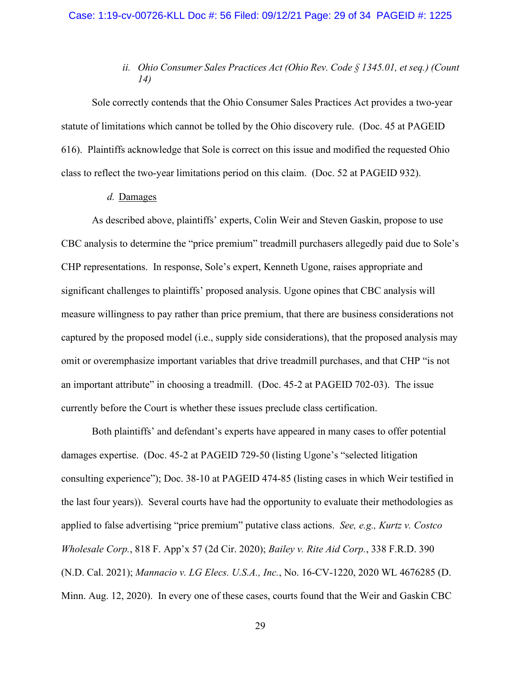#### Case: 1:19-cv-00726-KLL Doc #: 56 Filed: 09/12/21 Page: 29 of 34 PAGEID #: 1225

# *ii. Ohio Consumer Sales Practices Act (Ohio Rev. Code § 1345.01, et seq.) (Count 14)*

Sole correctly contends that the Ohio Consumer Sales Practices Act provides a two-year statute of limitations which cannot be tolled by the Ohio discovery rule. (Doc. 45 at PAGEID 616). Plaintiffs acknowledge that Sole is correct on this issue and modified the requested Ohio class to reflect the two-year limitations period on this claim. (Doc. 52 at PAGEID 932).

### *d.* Damages

As described above, plaintiffs' experts, Colin Weir and Steven Gaskin, propose to use CBC analysis to determine the "price premium" treadmill purchasers allegedly paid due to Sole's CHP representations. In response, Sole's expert, Kenneth Ugone, raises appropriate and significant challenges to plaintiffs' proposed analysis. Ugone opines that CBC analysis will measure willingness to pay rather than price premium, that there are business considerations not captured by the proposed model (i.e., supply side considerations), that the proposed analysis may omit or overemphasize important variables that drive treadmill purchases, and that CHP "is not an important attribute" in choosing a treadmill. (Doc. 45-2 at PAGEID 702-03). The issue currently before the Court is whether these issues preclude class certification.

Both plaintiffs' and defendant's experts have appeared in many cases to offer potential damages expertise. (Doc. 45-2 at PAGEID 729-50 (listing Ugone's "selected litigation consulting experience"); Doc. 38-10 at PAGEID 474-85 (listing cases in which Weir testified in the last four years)). Several courts have had the opportunity to evaluate their methodologies as applied to false advertising "price premium" putative class actions. *See, e.g., Kurtz v. Costco Wholesale Corp.*, 818 F. App'x 57 (2d Cir. 2020); *Bailey v. Rite Aid Corp.*, 338 F.R.D. 390 (N.D. Cal. 2021); *Mannacio v. LG Elecs. U.S.A., Inc.*, No. 16-CV-1220, 2020 WL 4676285 (D. Minn. Aug. 12, 2020). In every one of these cases, courts found that the Weir and Gaskin CBC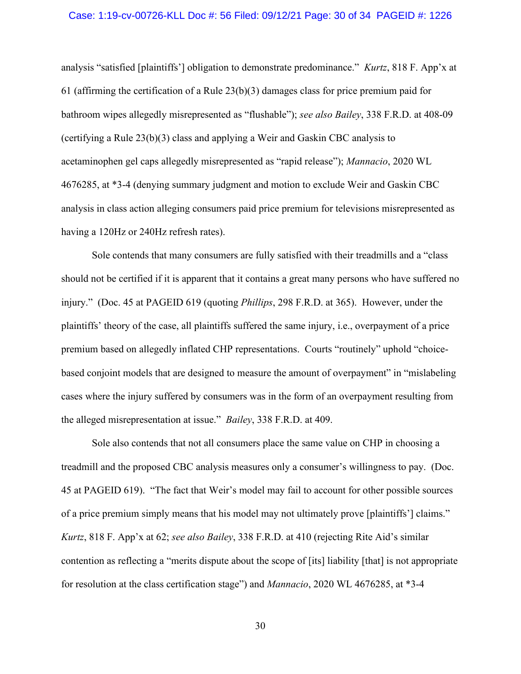#### Case: 1:19-cv-00726-KLL Doc #: 56 Filed: 09/12/21 Page: 30 of 34 PAGEID #: 1226

analysis "satisfied [plaintiffs'] obligation to demonstrate predominance." *Kurtz*, 818 F. App'x at 61 (affirming the certification of a Rule 23(b)(3) damages class for price premium paid for bathroom wipes allegedly misrepresented as "flushable"); *see also Bailey*, 338 F.R.D. at 408-09 (certifying a Rule 23(b)(3) class and applying a Weir and Gaskin CBC analysis to acetaminophen gel caps allegedly misrepresented as "rapid release"); *Mannacio*, 2020 WL 4676285, at \*3-4 (denying summary judgment and motion to exclude Weir and Gaskin CBC analysis in class action alleging consumers paid price premium for televisions misrepresented as having a 120Hz or 240Hz refresh rates).

Sole contends that many consumers are fully satisfied with their treadmills and a "class should not be certified if it is apparent that it contains a great many persons who have suffered no injury." (Doc. 45 at PAGEID 619 (quoting *Phillips*, 298 F.R.D. at 365). However, under the plaintiffs' theory of the case, all plaintiffs suffered the same injury, i.e., overpayment of a price premium based on allegedly inflated CHP representations. Courts "routinely" uphold "choicebased conjoint models that are designed to measure the amount of overpayment" in "mislabeling cases where the injury suffered by consumers was in the form of an overpayment resulting from the alleged misrepresentation at issue." *Bailey*, 338 F.R.D. at 409.

Sole also contends that not all consumers place the same value on CHP in choosing a treadmill and the proposed CBC analysis measures only a consumer's willingness to pay. (Doc. 45 at PAGEID 619). "The fact that Weir's model may fail to account for other possible sources of a price premium simply means that his model may not ultimately prove [plaintiffs'] claims." *Kurtz*, 818 F. App'x at 62; *see also Bailey*, 338 F.R.D. at 410 (rejecting Rite Aid's similar contention as reflecting a "merits dispute about the scope of [its] liability [that] is not appropriate for resolution at the class certification stage") and *Mannacio*, 2020 WL 4676285, at \*3-4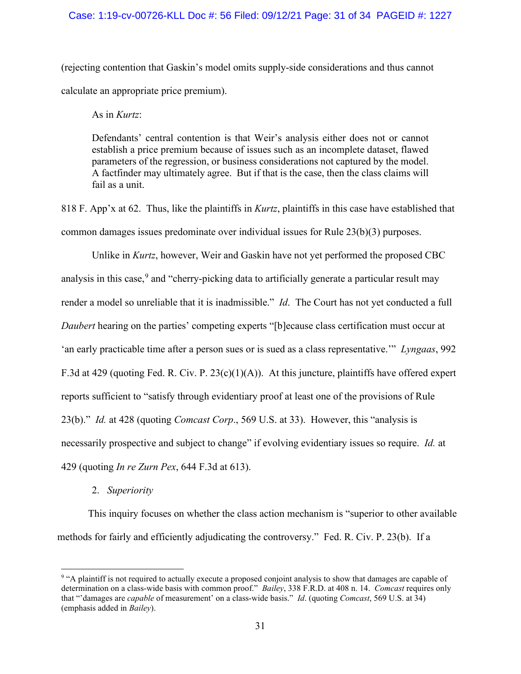### Case: 1:19-cv-00726-KLL Doc #: 56 Filed: 09/12/21 Page: 31 of 34 PAGEID #: 1227

(rejecting contention that Gaskin's model omits supply-side considerations and thus cannot calculate an appropriate price premium).

As in *Kurtz*:

Defendants' central contention is that Weir's analysis either does not or cannot establish a price premium because of issues such as an incomplete dataset, flawed parameters of the regression, or business considerations not captured by the model. A factfinder may ultimately agree. But if that is the case, then the class claims will fail as a unit.

818 F. App'x at 62. Thus, like the plaintiffs in *Kurtz*, plaintiffs in this case have established that common damages issues predominate over individual issues for Rule 23(b)(3) purposes.

Unlike in *Kurtz*, however, Weir and Gaskin have not yet performed the proposed CBC analysis in this case,  $9$  and "cherry-picking data to artificially generate a particular result may render a model so unreliable that it is inadmissible." *Id*. The Court has not yet conducted a full *Daubert* hearing on the parties' competing experts "[b]ecause class certification must occur at 'an early practicable time after a person sues or is sued as a class representative.'" *Lyngaas*, 992 F.3d at 429 (quoting Fed. R. Civ. P. 23(c)(1)(A)). At this juncture, plaintiffs have offered expert reports sufficient to "satisfy through evidentiary proof at least one of the provisions of Rule 23(b)." *Id.* at 428 (quoting *Comcast Corp*., 569 U.S. at 33). However, this "analysis is necessarily prospective and subject to change" if evolving evidentiary issues so require. *Id.* at 429 (quoting *In re Zurn Pex*, 644 F.3d at 613).

2. *Superiority*

This inquiry focuses on whether the class action mechanism is "superior to other available methods for fairly and efficiently adjudicating the controversy." Fed. R. Civ. P. 23(b). If a

<span id="page-30-0"></span><sup>9</sup> "A plaintiff is not required to actually execute a proposed conjoint analysis to show that damages are capable of determination on a class-wide basis with common proof." *Bailey*, 338 F.R.D. at 408 n. 14. *Comcast* requires only that "'damages are *capable* of measurement' on a class-wide basis." *Id*. (quoting *Comcast*, 569 U.S. at 34) (emphasis added in *Bailey*).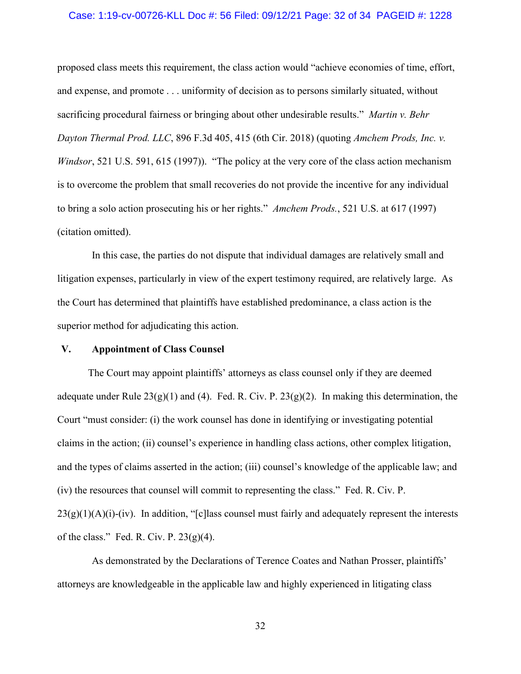#### Case: 1:19-cv-00726-KLL Doc #: 56 Filed: 09/12/21 Page: 32 of 34 PAGEID #: 1228

proposed class meets this requirement, the class action would "achieve economies of time, effort, and expense, and promote . . . uniformity of decision as to persons similarly situated, without sacrificing procedural fairness or bringing about other undesirable results." *Martin v. Behr Dayton Thermal Prod. LLC*, 896 F.3d 405, 415 (6th Cir. 2018) (quoting *Amchem Prods, Inc. v. Windsor*, 521 U.S. 591, 615 (1997)). "The policy at the very core of the class action mechanism is to overcome the problem that small recoveries do not provide the incentive for any individual to bring a solo action prosecuting his or her rights." *Amchem Prods.*, 521 U.S. at 617 (1997) (citation omitted).

In this case, the parties do not dispute that individual damages are relatively small and litigation expenses, particularly in view of the expert testimony required, are relatively large. As the Court has determined that plaintiffs have established predominance, a class action is the superior method for adjudicating this action.

### **V. Appointment of Class Counsel**

The Court may appoint plaintiffs' attorneys as class counsel only if they are deemed adequate under Rule  $23(g)(1)$  and (4). Fed. R. Civ. P.  $23(g)(2)$ . In making this determination, the Court "must consider: (i) the work counsel has done in identifying or investigating potential claims in the action; (ii) counsel's experience in handling class actions, other complex litigation, and the types of claims asserted in the action; (iii) counsel's knowledge of the applicable law; and (iv) the resources that counsel will commit to representing the class." Fed. R. Civ. P.  $23(g)(1)(A)(i)$ -(iv). In addition, "[c] lass counsel must fairly and adequately represent the interests of the class." Fed. R. Civ. P.  $23(g)(4)$ .

As demonstrated by the Declarations of Terence Coates and Nathan Prosser, plaintiffs' attorneys are knowledgeable in the applicable law and highly experienced in litigating class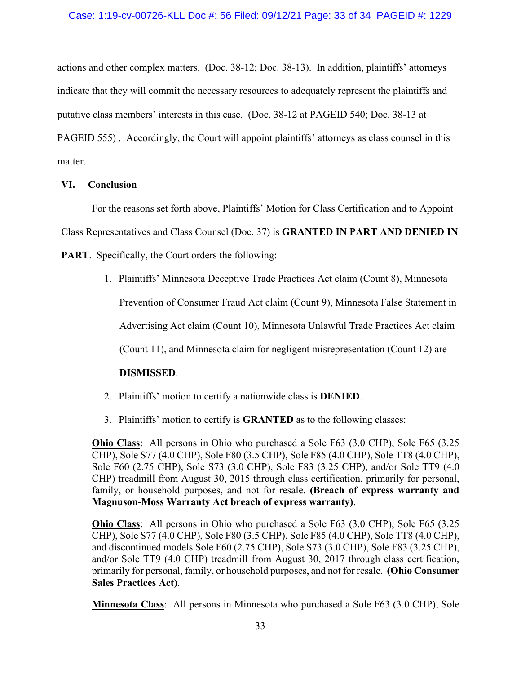actions and other complex matters. (Doc. 38-12; Doc. 38-13). In addition, plaintiffs' attorneys indicate that they will commit the necessary resources to adequately represent the plaintiffs and putative class members' interests in this case. (Doc. 38-12 at PAGEID 540; Doc. 38-13 at PAGEID 555) . Accordingly, the Court will appoint plaintiffs' attorneys as class counsel in this matter.

# **VI. Conclusion**

For the reasons set forth above, Plaintiffs' Motion for Class Certification and to Appoint

Class Representatives and Class Counsel (Doc. 37) is **GRANTED IN PART AND DENIED IN** 

**PART**. Specifically, the Court orders the following:

1. Plaintiffs' Minnesota Deceptive Trade Practices Act claim (Count 8), Minnesota

Prevention of Consumer Fraud Act claim (Count 9), Minnesota False Statement in

Advertising Act claim (Count 10), Minnesota Unlawful Trade Practices Act claim

(Count 11), and Minnesota claim for negligent misrepresentation (Count 12) are

# **DISMISSED**.

- 2. Plaintiffs' motion to certify a nationwide class is **DENIED**.
- 3. Plaintiffs' motion to certify is **GRANTED** as to the following classes:

**Ohio Class**: All persons in Ohio who purchased a Sole F63 (3.0 CHP), Sole F65 (3.25 CHP), Sole S77 (4.0 CHP), Sole F80 (3.5 CHP), Sole F85 (4.0 CHP), Sole TT8 (4.0 CHP), Sole F60 (2.75 CHP), Sole S73 (3.0 CHP), Sole F83 (3.25 CHP), and/or Sole TT9 (4.0 CHP) treadmill from August 30, 2015 through class certification, primarily for personal, family, or household purposes, and not for resale. **(Breach of express warranty and Magnuson-Moss Warranty Act breach of express warranty)**.

**Ohio Class**: All persons in Ohio who purchased a Sole F63 (3.0 CHP), Sole F65 (3.25 CHP), Sole S77 (4.0 CHP), Sole F80 (3.5 CHP), Sole F85 (4.0 CHP), Sole TT8 (4.0 CHP), and discontinued models Sole F60 (2.75 CHP), Sole S73 (3.0 CHP), Sole F83 (3.25 CHP), and/or Sole TT9 (4.0 CHP) treadmill from August 30, 2017 through class certification, primarily for personal, family, or household purposes, and not for resale. **(Ohio Consumer Sales Practices Act)**.

**Minnesota Class**: All persons in Minnesota who purchased a Sole F63 (3.0 CHP), Sole